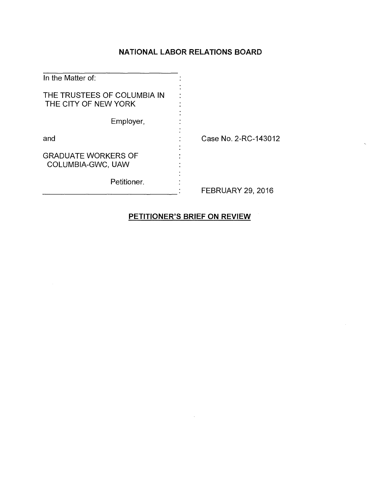# **NATIONAL LABOR RELATIONS BOARD**

| In the Matter of:                                   |                          |
|-----------------------------------------------------|--------------------------|
| THE TRUSTEES OF COLUMBIA IN<br>THE CITY OF NEW YORK |                          |
| Employer,                                           |                          |
| and                                                 | Case No. 2-RC-143012     |
| <b>GRADUATE WORKERS OF</b><br>COLUMBIA-GWC, UAW     |                          |
| Petitioner.                                         | <b>FEBRUARY 29, 2016</b> |

# **PETITIONER'S BRIEF ON REVIEW**

 $\mathcal{A}$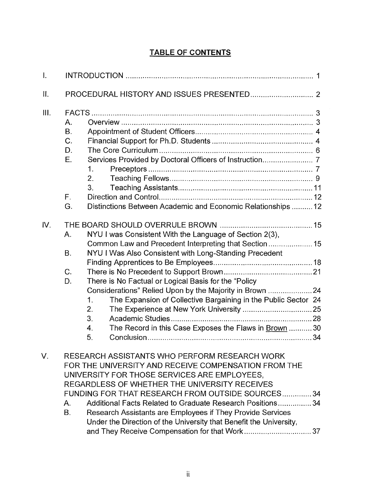|  | <b>TABLE OF CONTENTS</b> |  |
|--|--------------------------|--|
|  |                          |  |

| $\mathbf{I}$ .    |                                                                                                                                                                                                                                                                                                                                                                                                                                                                                 |  |
|-------------------|---------------------------------------------------------------------------------------------------------------------------------------------------------------------------------------------------------------------------------------------------------------------------------------------------------------------------------------------------------------------------------------------------------------------------------------------------------------------------------|--|
| $\prod_{i=1}^{n}$ |                                                                                                                                                                                                                                                                                                                                                                                                                                                                                 |  |
| III.              | Α.<br><b>B.</b><br>C <sub>r</sub><br>D.<br>E.<br>1.<br>2.<br>3 <sub>1</sub><br>F.<br>Distinctions Between Academic and Economic Relationships  12<br>G.                                                                                                                                                                                                                                                                                                                         |  |
| IV.               | NYU I was Consistent With the Language of Section 2(3),<br>Α.<br>NYU I Was Also Consistent with Long-Standing Precedent<br><b>B.</b><br>C.<br>There is No Factual or Logical Basis for the "Policy<br>D.<br>Considerations" Relied Upon by the Majority in Brown 24<br>The Expansion of Collective Bargaining in the Public Sector 24<br>1.<br>2.<br>3.<br>The Record in this Case Exposes the Flaws in Brown  30<br>4.<br>5.                                                   |  |
| V.                | RESEARCH ASSISTANTS WHO PERFORM RESEARCH WORK<br>FOR THE UNIVERSITY AND RECEIVE COMPENSATION FROM THE<br>UNIVERSITY FOR THOSE SERVICES ARE EMPLOYEES,<br>REGARDLESS OF WHETHER THE UNIVERSITY RECEIVES<br>FUNDING FOR THAT RESEARCH FROM OUTSIDE SOURCES34<br>Additional Facts Related to Graduate Research Positions 34<br>Α.<br><b>B.</b><br>Research Assistants are Employees if They Provide Services<br>Under the Direction of the University that Benefit the University, |  |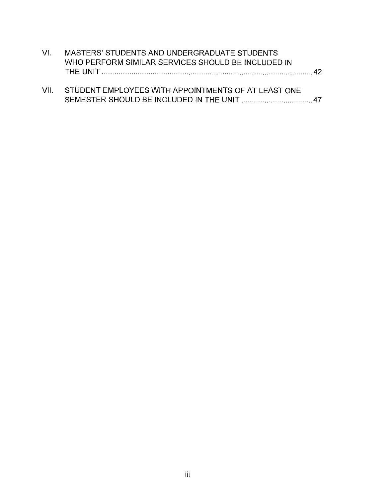| AZL. | MASTERS' STUDENTS AND UNDERGRADUATE STUDENTS             |  |
|------|----------------------------------------------------------|--|
|      | WHO PERFORM SIMILAR SERVICES SHOULD BE INCLUDED IN       |  |
|      |                                                          |  |
|      |                                                          |  |
|      | VII. STUDENT EMPLOYEES WITH APPOINTMENTS OF AT LEAST ONE |  |
|      |                                                          |  |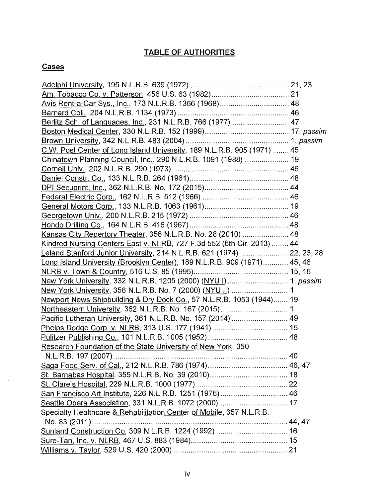# **TABLE OF AUTHORITIES**

# **Cases**

 $\sim$ 

| Avis Rent-a-Car Sys., Inc., 173 N.L.R.B. 1366 (1968) 48                  |  |
|--------------------------------------------------------------------------|--|
|                                                                          |  |
| Berlitz Sch. of Languages, Inc., 231 N.L.R.B. 766 (1977)  47             |  |
|                                                                          |  |
|                                                                          |  |
| C.W. Post Center of Long Island University, 189 N.L.R.B. 905 (1971)  45  |  |
| Chinatown Planning Council, Inc., 290 N.L.R.B. 1091 (1988)  19           |  |
|                                                                          |  |
|                                                                          |  |
|                                                                          |  |
|                                                                          |  |
|                                                                          |  |
|                                                                          |  |
|                                                                          |  |
| Kansas City Repertory Theater, 356 N.L.R.B. No. 28 (2010)  48            |  |
| Kindred Nursing Centers East v. NLRB, 727 F.3d 552 (6th Cir. 2013)  44   |  |
| Leland Stanford Junior University, 214 N.L.R.B. 621 (1974)  22, 23, 28   |  |
| Long Island University (Brooklyn Center), 189 N.L.R.B. 909 (1971) 45, 46 |  |
|                                                                          |  |
| New York University, 332 N.L.R.B. 1205 (2000) (NYU I)  1, passim         |  |
| New York University, 356 N.L.R.B. No. 7 (2000) (NYU II)  1               |  |
| Newport News Shipbuilding & Dry Dock Co., 57 N.L.R.B. 1053 (1944) 19     |  |
|                                                                          |  |
| Pacific Lutheran University, 361 N.L.R.B. No. 157 (2014)  49             |  |
|                                                                          |  |
|                                                                          |  |
| Research Foundation of the State University of New York, 350             |  |
|                                                                          |  |
|                                                                          |  |
|                                                                          |  |
|                                                                          |  |
| San Francisco Art Institute, 226 N.L.R.B. 1251 (1976) 46                 |  |
|                                                                          |  |
| Specialty Healthcare & Rehabilitation Center of Mobile, 357 N.L.R.B.     |  |
| No. 83 (2011)                                                            |  |
|                                                                          |  |
|                                                                          |  |
|                                                                          |  |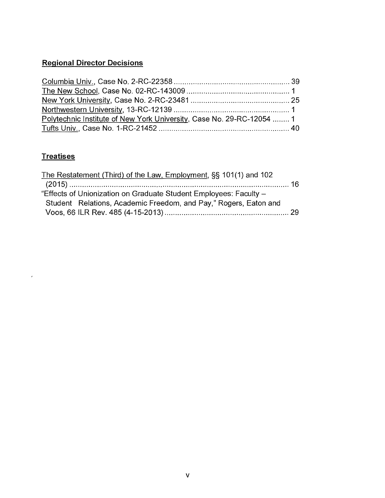# **Regional Director Decisions**

| Polytechnic Institute of New York University, Case No. 29-RC-12054  1 |  |
|-----------------------------------------------------------------------|--|
|                                                                       |  |

# **Treatises**

 $\mathcal{A}^{\mathcal{A}}$  and  $\mathcal{A}^{\mathcal{A}}$ 

| The Restatement (Third) of the Law, Employment, SS 101(1) and 102 |  |
|-------------------------------------------------------------------|--|
|                                                                   |  |
| "Effects of Unionization on Graduate Student Employees: Faculty - |  |
| Student Relations, Academic Freedom, and Pay," Rogers, Eaton and  |  |
|                                                                   |  |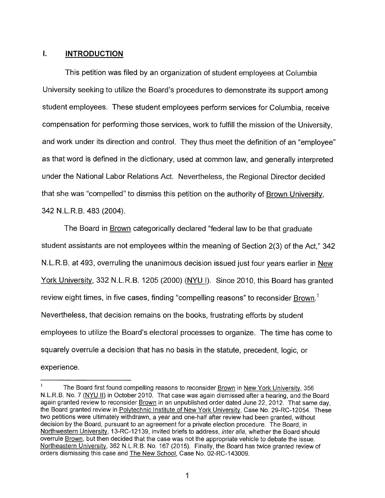# **I. INTRODUCTION**

This petition was filed by an organization of student employees at Columbia University seeking to utilize the Board's procedures to demonstrate its support among student employees. These student employees perform services for Columbia, receive compensation for performing those services, work to fulfill the mission of the University, and work under its direction and control. They thus meet the definition of an "employee" as that word is defined in the dictionary, used at common law, and generally interpreted under the National Labor Relations Act. Nevertheless, the Regional Director decided that she was "compelled" to dismiss this petition on the authority of Brown University, 342 N.L.R.B. 483 (2004).

The Board in **Brown** categorically declared "federal law to be that graduate student assistants are not employees within the meaning of Section 2(3) of the Act," 342 N.L.R.B. at 493, overruling the unanimous decision issued just four years earlier in New York University, 332 N.L.R.B. 1205 (2000) (NYU l). Since 2010, this Board has granted review eight times, in five cases, finding "compelling reasons" to reconsider Brown.<sup>1</sup> Nevertheless, that decision remains on the books, frustrating efforts by student employees to utilize the Board's electoral processes to organize. The time has come to squarely overrule a decision that has no basis in the statute, precedent, logic, or experience.

<sup>&</sup>lt;sup>1</sup> The Board first found compelling reasons to reconsider  $Brown$  in New York University, 356 N.L.R.B. No. 7 (NYU II) in October 2010. That case was again dismissed after a hearing, and the Board again granted review to reconsider Brown in an unpublished order dated June 22, 2012. That same day, the Board granted review in Polytechnic Institute of New York University, Case No. 29-RC-12054. These two petitions were ultimately withdrawn, a year and one-half after review had been granted, without decision by the Board, pursuant to an agreement for a private election procedure. The Board, in Northwestern University, 13-RC-12139, invited briefs to address, inter alia, whether the Board should overrule Brown, but then decided that the case was not the appropriate vehicle to debate the issue. Northeastern University, 362 N.L.R.B. No. 167 (2015). Finally, the Board has twice granted review of orders dismissing this case and The New School, Case No. 02-RC-143009.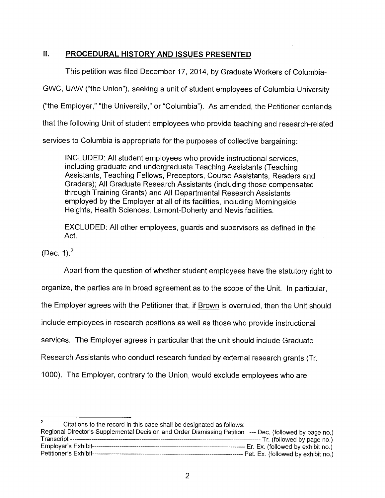#### $II.$ **PROCEDURAL HISTORY AND ISSUES PRESENTED**

This petition was filed December 17, 2014, by Graduate Workers of Columbia-GWC, UAW ("the Union"), seeking a unit of student employees of Columbia University ("the Employer," "the University," or "Columbia"). As amended, the Petitioner contends that the following Unit of student employees who provide teaching and research-related services to Columbia is appropriate for the purposes of collective bargaining:

INCLUDED: All student employees who provide instructional services, including graduate and undergraduate Teaching Assistants (Teaching Assistants, Teaching Fellows, Preceptors, Course Assistants, Readers and Graders); All Graduate Research Assistants (including those compensated through Training Grants) and All Departmental Research Assistants employed by the Employer at all of its facilities, including Morningside Heights, Health Sciences, Lamont-Doherty and Nevis facilities.

EXCLUDED: All other employees, guards and supervisors as defined in the Act.

(Dec. 1).2

Apart from the question of whether student employees have the statutory right to organize, the parties are in broad agreement as to the scope of the Unit. In particular, the Employer agrees with the Petitioner that, if Brown is overruled, then the Unit should include employees in research positions as well as those who provide instructional services. The Employer agrees in particular that the unit should include Graduate Research Assistants who conduct research funded by external research grants (Tr. 1000). The Employer, contrary to the Union, would exclude employees who are

Citations to the record in this case shall be designated as follows: Regional Director's Supplemental Decision and Order Dismissing Petition --- Dec. (followed by page no.) Transcript Ti. (followed by page no.) Employer's Exhibit Er. Ex. (followed by exhibit no.) Petitioner's Exhibit Pet. Ex. (followed by exhibit no.)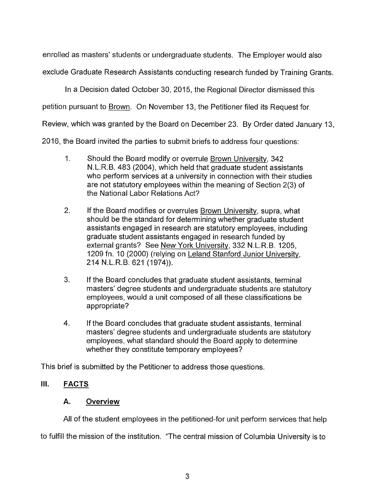enrolled as masters' students or undergraduate students. The Employer would also

exclude Graduate Research Assistants conducting research funded by Training Grants.

In a Decision dated October 30, 2015, the Regional Director dismissed this

petition pursuant to Brown. On November 13, the Petitioner filed its Request for

Review, which was granted by the Board on December 23. By Order dated January 13,

2016, the Board invited the parties to submit briefs to address four questions:

- 1. Should the Board modify or overrule Brown University, 342 N.L.R.B. 483 (2004), which held that graduate student assistants who perform services at a university in connection with their studies are not statutory employees within the meaning of Section 2(3) of the National Labor Relations Act?
- 2. If the Board modifies or overrules Brown University, supra, what should be the standard for determining whether graduate student assistants engaged in research are statutory employees, including graduate student assistants engaged in research funded by external grants? See New York University, 332 N.L.R.B. 1205, 1209 fn. 10 (2000) (relying on Leland Stanford Junior University, 214 N.L.R.B. 621 (1974)).
- 3. If the Board concludes that graduate student assistants, terminal masters' degree students and undergraduate students are statutory employees, would a unit composed of all these classifications be appropriate?
- 4. If the Board concludes that graduate student assistants, terminal masters' degree students and undergraduate students are statutory employees, what standard should the Board apply to determine whether they constitute temporary employees?

This brief is submitted by the Petitioner to address those questions.

# **III. FACTS**

# **A. Overview**

All of the student employees in the petitioned-for unit perform services that help

to fulfill the mission of the institution. "The central mission of Columbia University is to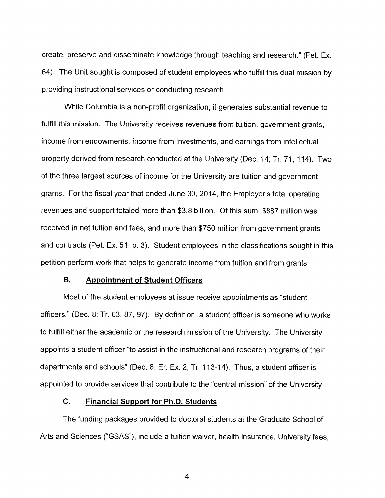create, preserve and disseminate knowledge through teaching and research." (Pet. Ex. 64). The Unit sought is composed of student employees who fulfill this dual mission by providing instructional services or conducting research.

While Columbia is a non-profit organization, it generates substantial revenue to fulfill this mission. The University receives revenues from tuition, government grants, income from endowments, income from investments, and earnings from intellectual property derived from research conducted at the University (Dec. 14; Tr. 71, 114). Two of the three largest sources of income for the University are tuition and government grants. For the fiscal year that ended June 30, 2014, the Employer's total operating revenues and support totaled more than \$3.8 billion. Of this sum, \$887 million was received in net tuition and fees, and more than \$750 million from government grants and contracts (Pet. Ex. 51, p. 3). Student employees in the classifications sought in this petition perform work that helps to generate income from tuition and from grants.

#### **B. Appointment of Student Officers**

Most of the student employees at issue receive appointments as "student officers." (Dec. 8; Tr. 63, 87, 97). By definition, a student officer is someone who works to fulfill either the academic or the research mission of the University. The University appoints a student officer "to assist in the instructional and research programs of their departments and schools" (Dec. 8; Er. Ex. 2; Tr. 113-14). Thus, a student officer is appointed to provide services that contribute to the "central mission" of the University.

#### **C. Financial Support for Ph.D. Students**

The funding packages provided to doctoral students at the Graduate School of Arts and Sciences ("GSAS"), include a tuition waiver, health insurance, University fees,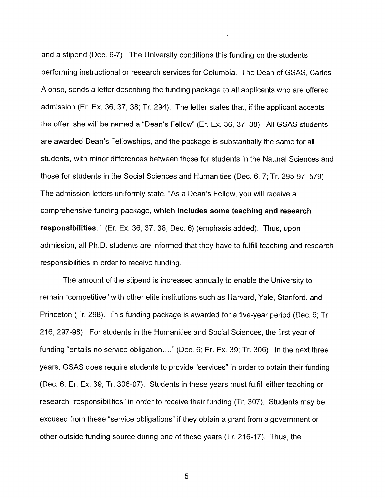and a stipend (Dec. 6-7). The University conditions this funding on the students performing instructional or research services for Columbia. The Dean of GSAS, Carlos Alonso, sends a letter describing the funding package to all applicants who are offered admission (Er. Ex. 36, 37, 38; Tr. 294). The letter states that, if the applicant accepts the offer, she will be named a "Dean's Fellow" (Er. Ex. 36, 37, 38). All GSAS students are awarded Dean's Fellowships, and the package is substantially the same for all students, with minor differences between those for students in the Natural Sciences and those for students in the Social Sciences and Humanities (Dec. 6, 7; Tr. 295-97, 579). The admission letters uniformly state, "As a Dean's Fellow, you will receive a comprehensive funding package, **which includes some teaching and research responsibilities."** (Er. Ex. 36, 37, 38; Dec. 6) (emphasis added). Thus, upon admission, all Ph.D. students are informed that they have to fulfill teaching and research responsibilities in order to receive funding.

The amount of the stipend is increased annually to enable the University to remain "competitive" with other elite institutions such as Harvard, Yale, Stanford, and Princeton (Tr. 298). This funding package is awarded for a five-year period (Dec. 6; Tr. 216, 297-98). For students in the Humanities and Social Sciences, the first year of funding "entails no service obligation...." (Dec. 6; Er. Ex. 39; Tr. 306). In the next three years, GSAS does require students to provide "services" in order to obtain their funding (Dec. 6; Er. Ex. 39; Tr. 306-07). Students in these years must fulfill either teaching or research "responsibilities" in order to receive their funding (Tr. 307). Students may be excused from these "service obligations" if they obtain a grant from a government or other outside funding source during one of these years (Tr. 216-17). Thus, the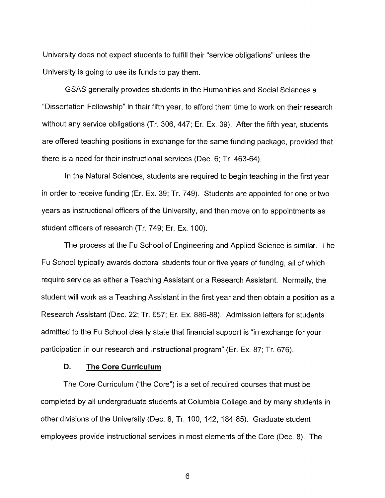University does not expect students to fulfill their "service obligations" unless the University is going to use its funds to pay them.

GSAS generally provides students in the Humanities and Social Sciences a "Dissertation Fellowship" in their fifth year, to afford them time to work on their research without any service obligations (Tr. 306, 447; Er. Ex. 39). After the fifth year, students are offered teaching positions in exchange for the same funding package, provided that there is a need for their instructional services (Dec. 6; Tr. 463-64).

In the Natural Sciences, students are required to begin teaching in the first year in order to receive funding (Er. Ex. 39; Tr. 749). Students are appointed for one or two years as instructional officers of the University, and then move on to appointments as student officers of research (Tr. 749; Er. Ex. 100).

The process at the Fu School of Engineering and Applied Science is similar. The Fu School typically awards doctoral students four or five years of funding, all of which require service as either a Teaching Assistant or a Research Assistant. Normally, the student will work as a Teaching Assistant in the first year and then obtain a position as a Research Assistant (Dec. 22; Tr. 657; Er. Ex. 886-88). Admission letters for students admitted to the Fu School clearly state that financial support is "in exchange for your participation in our research and instructional program" (Er. Ex. 87; Tr. 676).

#### **D. The Core Curriculum**

The Core Curriculum ("the Core") is a set of required courses that must be completed by all undergraduate students at Columbia College and by many students in other divisions of the University (Dec. 8; Tr. 100, 142, 184-85). Graduate student employees provide instructional services in most elements of the Core (Dec. 8). The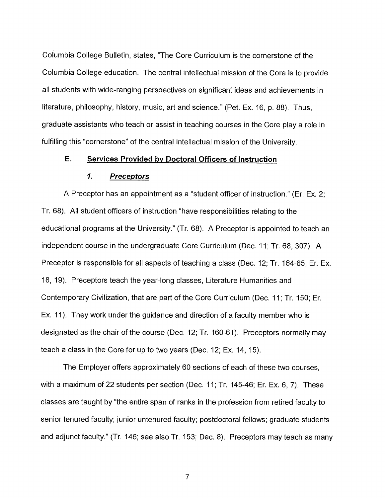Columbia College Bulletin, states, "The Core Curriculum is the cornerstone of the Columbia College education. The central intellectual mission of the Core is to provide all students with wide-ranging perspectives on significant ideas and achievements in literature, philosophy, history, music, art and science." (Pet. Ex. 16, p. 88). Thus, graduate assistants who teach or assist in teaching courses in the Core play a role in fulfilling this "cornerstone" of the central intellectual mission of the University.

## **E. Services Provided by Doctoral Officers of Instruction**

#### **1. Preceptors**

A Preceptor has an appointment as a "student officer of instruction." (Er. Ex. 2; Tr. 68). All student officers of instruction "have responsibilities relating to the educational programs at the University." (Tr. 68). A Preceptor is appointed to teach an independent course in the undergraduate Core Curriculum (Dec. 11; Tr. 68, 307). A Preceptor is responsible for all aspects of teaching a class (Dec. 12; Tr. 164-65; Er. Ex. 18, 19). Preceptors teach the year-long classes, Literature Humanities and Contemporary Civilization, that are part of the Core Curriculum (Dec. 11; Tr. 150; Er. Ex. 11). They work under the guidance and direction of a faculty member who is designated as the chair of the course (Dec. 12; Tr. 160-61). Preceptors normally may teach a class in the Core for up to two years (Dec. 12; Ex. 14, 15).

The Employer offers approximately 60 sections of each of these two courses, with a maximum of 22 students per section (Dec. 11; Tr. 145-46; Er. Ex. 6, 7). These classes are taught by "the entire span of ranks in the profession from retired faculty to senior tenured faculty; junior untenured faculty; postdoctoral fellows; graduate students and adjunct faculty." (Tr. 146; see also Tr. 153; Dec. 8). Preceptors may teach as many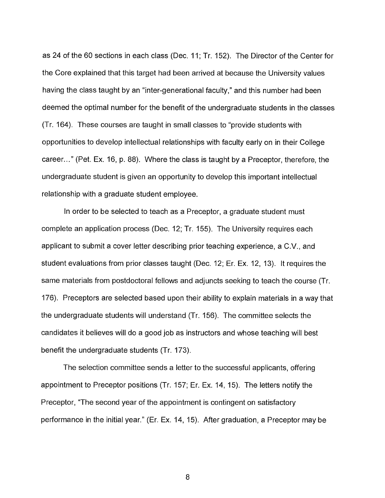as 24 of the 60 sections in each class (Dec. 11; Tr. 152). The Director of the Center for the Core explained that this target had been arrived at because the University values having the class taught by an "inter-generational faculty," and this number had been deemed the optimal number for the benefit of the undergraduate students in the classes (Tr. 164). These courses are taught in small classes to "provide students with opportunities to develop intellectual relationships with faculty early on in their College career..." (Pet. Ex. 16, p. 88). Where the class is taught by a Preceptor, therefore, the undergraduate student is given an opportunity to develop this important intellectual relationship with a graduate student employee.

In order to be selected to teach as a Preceptor, a graduate student must complete an application process (Dec. 12; Tr. 155). The University requires each applicant to submit a cover letter describing prior teaching experience, a C.V., and student evaluations from prior classes taught (Dec. 12; Er. Ex. 12, 13). It requires the same materials from postdoctoral fellows and adjuncts seeking to teach the course (Tr. 176). Preceptors are selected based upon their ability to explain materials in a way that the undergraduate students will understand (Tr. 156). The committee selects the candidates it believes will do a good job as instructors and whose teaching will best benefit the undergraduate students (Tr. 173).

The selection committee sends a letter to the successful applicants, offering appointment to Preceptor positions (Tr. 157; Er. Ex. 14, 15). The letters notify the Preceptor, "The second year of the appointment is contingent on satisfactory performance in the initial year." (Er. Ex. 14, 15). After graduation, a Preceptor may be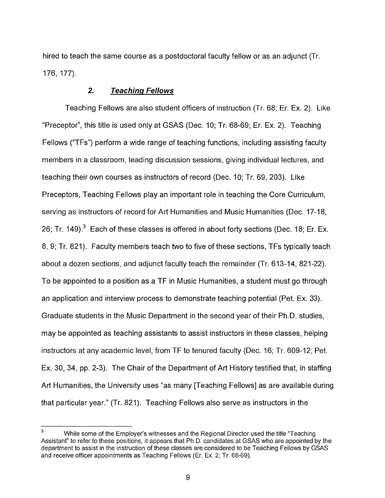hired to teach the same course as a postdoctoral faculty fellow or as an adjunct (Tr. 176, 177).

#### **2.** Teaching Fellows

Teaching Fellows are also student officers of instruction (Tr. 68; Er. Ex. 2). Like "Preceptor", this title is used only at GSAS (Dec. 10; Tr. 68-69; Er. Ex. 2). Teaching Fellows ("TFs") perform a wide range of teaching functions, including assisting faculty members in a classroom, leading discussion sessions, giving individual lectures, and teaching their own courses as instructors of record (Dec. 10; Tr. 69, 203). Like Preceptors, Teaching Fellows play an important role in teaching the Core Curriculum, serving as instructors of record for Art Humanities and Music Humanities (Dec. 17-18, 26; Tr. 149).<sup>3</sup> Each of these classes is offered in about forty sections (Dec. 18; Er. Ex. 8, 9; Tr. 821). Faculty members teach two to five of these sections, TFs typically teach about a dozen sections, and adjunct faculty teach the remainder (Tr. 613-14, 821-22). To be appointed to a position as a TF in Music Humanities, a student must go through an application and interview process to demonstrate teaching potential (Pet. Ex. 33). Graduate students in the Music Department in the second year of their Ph.D. studies, may be appointed as teaching assistants to assist instructors in these classes, helping instructors at any academic level, from TF to tenured faculty (Dec. 16; Tr. 609-12; Pet. Ex. 30, 34, pp. 2-3). The Chair of the Department of Art History testified that, in staffing Art Humanities, the University uses "as many [Teaching Fellows] as are available during that particular year." (Tr. 821). Teaching Fellows also serve as instructors in the

<sup>&</sup>lt;sup>3</sup> While some of the Employer's witnesses and the Regional Director used the title "Teaching" Assistant" to refer to these positions, it appears that Ph.D. candidates at GSAS who are appointed by the department to assist in the instruction of these classes are considered to be Teaching Fellows by GSAS and receive officer appointments as Teaching Fellows (Er. Ex. 2; Tr. 68-69).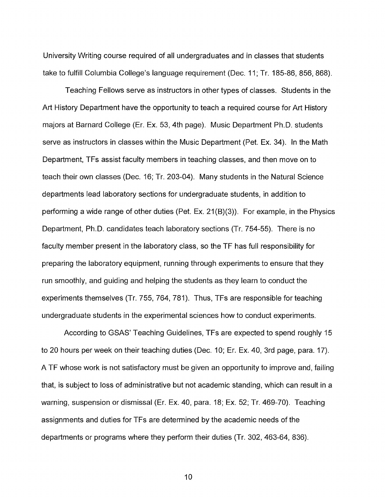University Writing course required of all undergraduates and in classes that students take to fulfill Columbia College's language requirement (Dec. 11; Tr. 185-86, 856, 868).

Teaching Fellows serve as instructors in other types of classes. Students in the Art History Department have the opportunity to teach a required course for Art History majors at Barnard College (Er. Ex. 53, 4th page). Music Department Ph.D. students serve as instructors in classes within the Music Department (Pet. Ex. 34). In the Math Department, TFs assist faculty members in teaching classes, and then move on to teach their own classes (Dec. 16; Tr. 203-04). Many students in the Natural Science departments lead laboratory sections for undergraduate students, in addition to performing a wide range of other duties (Pet. Ex. 21(B)(3)). For example, in the Physics Department, Ph.D. candidates teach laboratory sections (Tr. 754-55). There is no faculty member present in the laboratory class, so the TF has full responsibility for preparing the laboratory equipment, running through experiments to ensure that they run smoothly, and guiding and helping the students as they learn to conduct the experiments themselves (Tr. 755, 764, 781). Thus, TFs are responsible for teaching undergraduate students in the experimental sciences how to conduct experiments.

According to GSAS' Teaching Guidelines, TFs are expected to spend roughly 15 to 20 hours per week on their teaching duties (Dec. 10; Er. Ex. 40, 3rd page, para. 17). A TF whose work is not satisfactory must be given an opportunity to improve and, failing that, is subject to loss of administrative but not academic standing, which can result in a warning, suspension or dismissal (Er. Ex. 40, para. 18; Ex. 52; Tr. 469-70). Teaching assignments and duties for TFs are determined by the academic needs of the departments or programs where they perform their duties (Tr. 302, 463-64, 836).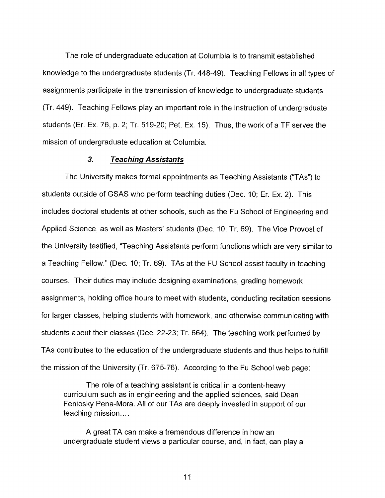The role of undergraduate education at Columbia is to transmit established knowledge to the undergraduate students (Tr. 448-49). Teaching Fellows in all types of assignments participate in the transmission of knowledge to undergraduate students (Tr. 449). Teaching Fellows play an important role in the instruction of undergraduate students (Er. Ex. 76, p. 2; Tr. 519-20; Pet. Ex. 15). Thus, the work of a TF serves the mission of undergraduate education at Columbia.

#### **3. Teaching Assistants**

The University makes formal appointments as Teaching Assistants ("TAs") to students outside of GSAS who perform teaching duties (Dec. 10; Er. Ex. 2). This includes doctoral students at other schools, such as the Fu School of Engineering and Applied Science, as well as Masters' students (Dec. 10; Tr. 69). The Vice Provost of the University testified, "Teaching Assistants perform functions which are very similar to a Teaching Fellow." (Dec. 10; Tr. 69). TAs at the FU School assist faculty in teaching courses. Their duties may include designing examinations, grading homework assignments, holding office hours to meet with students, conducting recitation sessions for larger classes, helping students with homework, and otherwise communicating with students about their classes (Dec. 22-23; Tr. 664). The teaching work performed by TAs contributes to the education of the undergraduate students and thus helps to fulfill the mission of the University  $(Tr. 675-76)$ . According to the Fu School web page:

The role of a teaching assistant is critical in a content-heavy curriculum such as in engineering and the applied sciences, said Dean Feniosky Pena-Mora. All of our TAs are deeply invested in support of our teaching mission....

A great TA can make a tremendous difference in how an undergraduate student views a particular course, and, in fact, can play a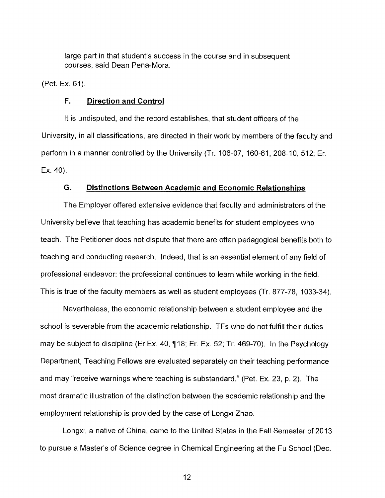large part in that student's success in the course and in subsequent courses, said Dean Pena-Mora.

(Pet. Ex. 61).

#### **F. Direction and Control**

It is undisputed, and the record establishes, that student officers of the University, in all classifications, are directed in their work by members of the faculty and perform in a manner controlled by the University (Tr. 106-07, 160-61, 208-10, 512; Er. Ex. 40).

#### **G. Distinctions Between Academic and Economic Relationships**

The Employer offered extensive evidence that faculty and administrators of the University believe that teaching has academic benefits for student employees who teach. The Petitioner does not dispute that there are often pedagogical benefits both to teaching and conducting research. Indeed, that is an essential element of any field of professional endeavor: the professional continues to learn while working in the field. This is true of the faculty members as well as student employees (Tr. 877-78, 1033-34).

Nevertheless, the economic relationship between a student employee and the school is severable from the academic relationship. TFs who do not fulfill their duties may be subject to discipline (Er Ex. 40, ¶18; Er. Ex. 52; Tr. 469-70). In the Psychology Department, Teaching Fellows are evaluated separately on their teaching performance and may "receive warnings where teaching is substandard." (Pet. Ex. 23, p. 2). The most dramatic illustration of the distinction between the academic relationship and the employment relationship is provided by the case of Longxi Zhao.

Longxi, a native of China, came to the United States in the Fall Semester of 2013 to pursue a Master's of Science degree in Chemical Engineering at the Fu School (Dec.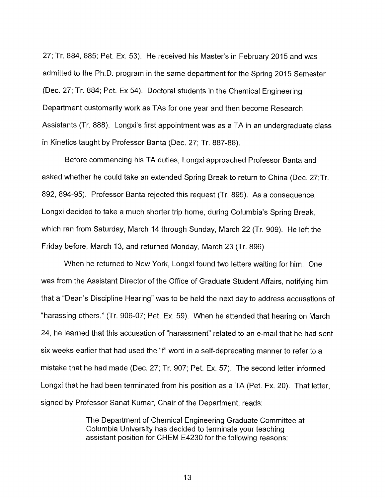27; Tr. 884, 885; Pet. Ex. 53). He received his Master's in February 2015 and was admitted to the Ph.D. program in the same department for the Spring 2015 Semester (Dec. 27; Tr. 884; Pet. Ex 54). Doctoral students in the Chemical Engineering Department customarily work as TAs for one year and then become Research Assistants (Tr. 888). Longxi's first appointment was as a TA in an undergraduate class in Kinetics taught by Professor Banta (Dec. 27; Tr. 887-88).

Before commencing his TA duties, Longxi approached Professor Banta and asked whether he could take an extended Spring Break to return to China (Dec. 27;Tr. 892, 894-95). Professor Banta rejected this request (Tr. 895). As a consequence, Longxi decided to take a much shorter trip home, during Columbia's Spring Break, which ran from Saturday, March 14 through Sunday, March 22 (Tr. 909). He left the Friday before, March 13, and returned Monday, March 23 (Tr. 896).

When he returned to New York, Longxi found two letters waiting for him. One was from the Assistant Director of the Office of Graduate Student Affairs, notifying him that a "Dean's Discipline Hearing" was to be held the next day to address accusations of "harassing others." (Tr. 906-07; Pet. Ex. 59). When he attended that hearing on March 24, he learned that this accusation of "harassment" related to an e-mail that he had sent six weeks earlier that had used the "f" word in a self-deprecating manner to refer to a mistake that he had made (Dec. 27; Tr. 907; Pet. Ex. 57). The second letter informed Longxi that he had been terminated from his position as a TA (Pet. Ex. 20). That letter, signed by Professor Sanat Kumar, Chair of the Department, reads:

> The Department of Chemical Engineering Graduate Committee at Columbia University has decided to terminate your teaching assistant position for CHEM E4230 for the following reasons: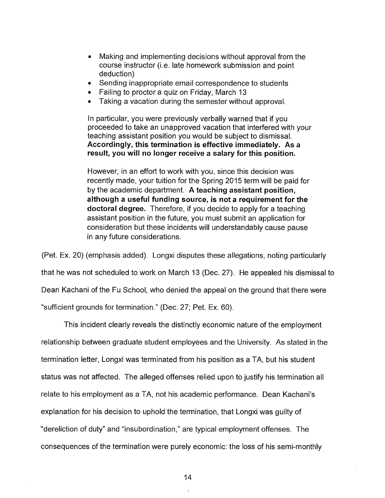- Making and implementing decisions without approval from the course instructor (i.e. late homework submission and point deduction)
- Sending inappropriate email correspondence to students
- Failing to proctor a quiz on Friday, March 13
- Taking a vacation during the semester without approval.

In particular, you were previously verbally warned that if you proceeded to take an unapproved vacation that interfered with your teaching assistant position you would be subject to dismissal. **Accordingly, this termination is effective immediately. As a result, you will no longer receive a salary for this position.** 

However, in an effort to work with you, since this decision was recently made, your tuition for the Spring 2015 term will be paid for by the academic department. **A teaching assistant position, although a useful funding source, is not a requirement for the doctoral degree.** Therefore, if you decide to apply for a teaching assistant position in the future, you must submit an application for consideration but these incidents will understandably cause pause in any future considerations.

(Pet. Ex. 20) (emphasis added). Longxi disputes these allegations, noting particularly

that he was not scheduled to work on March 13 (Dec. 27). He appealed his dismissal to

Dean Kachani of the Fu School, who denied the appeal on the ground that there were

"sufficient grounds for termination." (Dec. 27; Pet. Ex. 60).

This incident clearly reveals the distinctly economic nature of the employment relationship between graduate student employees and the University. As stated in the termination letter, Longxi was terminated from his position as a TA, but his student status was not affected. The alleged offenses relied upon to justify his termination all relate to his employment as a TA, not his academic performance. Dean Kachani's explanation for his decision to uphold the termination, that Longxi was guilty of "dereliction of duty" and "insubordination," are typical employment offenses. The consequences of the termination were purely economic: the loss of his semi-monthly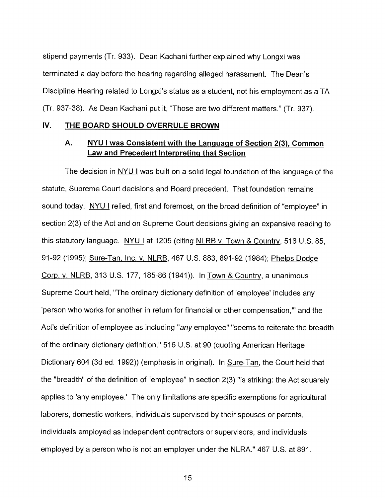stipend payments (Tr. 933). Dean Kachani further explained why Longxi was terminated a day before the hearing regarding alleged harassment. The Dean's Discipline Hearing related to Longxi's status as a student, not his employment as a TA (Tr. 937-38). As Dean Kachani put it, "Those are two different matters." (Ti. 937).

#### **IV. THE BOARD SHOULD OVERRULE BROWN**

# **A. NYU I was Consistent with the Language of Section 2(3), Common Law and Precedent Interpreting that Section**

The decision in **NYU I** was built on a solid legal foundation of the language of the statute, Supreme Court decisions and Board precedent. That foundation remains sound today. NYU I relied, first and foremost, on the broad definition of "employee" in section 2(3) of the Act and on Supreme Court decisions giving an expansive reading to this statutory language. **NYU** I at 1205 (citing NLRB v. Town & Country, 516 U.S. 85, 91-92 (1995); Sure-Tan, Inc. v. NLRB, 467 U.S. 883, 891-92 (1984); Phelps Dodge Corp. v. NLRB, 313 U.S. 177, 185-86 (1941)). In Town & Country, a unanimous Supreme Court held, "The ordinary dictionary definition of 'employee' includes any 'person who works for another in return for financial or other compensation," and the Act's definition of employee as including "any employee" "seems to reiterate the breadth of the ordinary dictionary definition." 516 U.S. at 90 (quoting American Heritage Dictionary 604 (3d ed. 1992)) (emphasis in original). In Sure-Tan, the Court held that the "breadth" of the definition of "employee" in section 2(3) "is striking: the Act squarely applies to 'any employee.' The only limitations are specific exemptions for agricultural laborers, domestic workers, individuals supervised by their spouses or parents, individuals employed as independent contractors or supervisors, and individuals employed by a person who is not an employer under the NLRA." 467 U.S. at 891.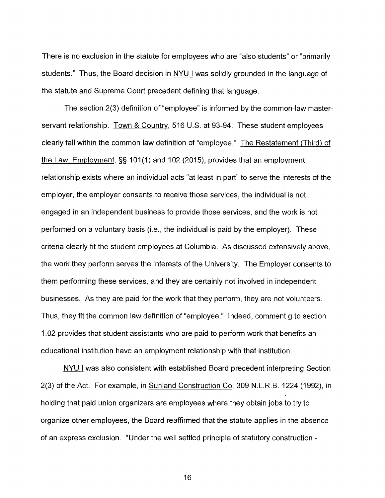There is no exclusion in the statute for employees who are "also students" or "primarily students." Thus, the Board decision in NYU I was solidly grounded in the language of the statute and Supreme Court precedent defining that language.

The section 2(3) definition of "employee" is informed by the common-law masterservant relationship. Town & Country, 516 U.S. at 93-94. These student employees clearly fall within the common law definition of "employee." The Restatement (Third) of the Law, Employment, §§ 101(1) and 102 (2015), provides that an employment relationship exists where an individual acts "at least in part" to serve the interests of the employer, the employer consents to receive those services, the individual is not engaged in an independent business to provide those services, and the work is not performed on a voluntary basis (i.e., the individual is paid by the employer). These criteria clearly fit the student employees at Columbia. As discussed extensively above, the work they perform serves the interests of the University. The Employer consents to them performing these services, and they are certainly not involved in independent businesses. As they are paid for the work that they perform, they are not volunteers. Thus, they fit the common law definition of "employee." Indeed, comment g to section 1.02 provides that student assistants who are paid to perform work that benefits an educational institution have an employment relationship with that institution.

NYU I was also consistent with established Board precedent interpreting Section 2(3) of the Act. For example, in Sunland Construction Co, 309 N.L.R.B. 1224 (1992), in holding that paid union organizers are employees where they obtain jobs to try to organize other employees, the Board reaffirmed that the statute applies in the absence of an express exclusion. "Under the well settled principle of statutory construction -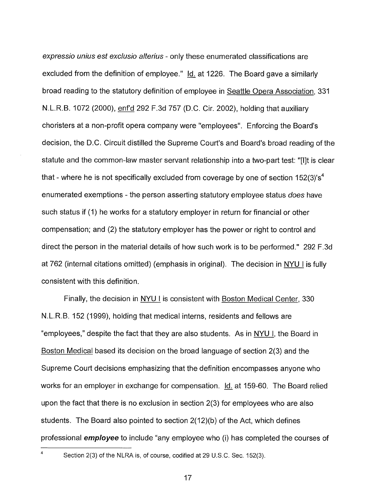expressio unius est exclusio alterius - only these enumerated classifications are excluded from the definition of employee." Id. at 1226. The Board gave a similarly broad reading to the statutory definition of employee in Seattle Opera Association, 331 N.L.R.B. 1072 (2000), enf'd 292 F.3d 757 (D.C. Cir. 2002), holding that auxiliary choristers at a non-profit opera company were "employees". Enforcing the Board's decision, the D.C. Circuit distilled the Supreme Court's and Board's broad reading of the statute and the common-law master servant relationship into a two-part test: "[lit is clear that - where he is not specifically excluded from coverage by one of section  $152(3)$ 's<sup>4</sup> enumerated exemptions - the person asserting statutory employee status does have such status if (1) he works for a statutory employer in return for financial or other compensation; and (2) the statutory employer has the power or right to control and direct the person in the material details of how such work is to be performed." 292 F.3d at 762 (internal citations omitted) (emphasis in original). The decision in NYU I is fully consistent with this definition.

Finally, the decision in NYU I is consistent with Boston Medical Center, 330 N.L.R.B. 152 (1999), holding that medical interns, residents and fellows are "employees," despite the fact that they are also students. As in NYU I, the Board in Boston Medical based its decision on the broad language of section 2(3) and the Supreme Court decisions emphasizing that the definition encompasses anyone who works for an employer in exchange for compensation. Id. at 159-60. The Board relied upon the fact that there is no exclusion in section 2(3) for employees who are also students. The Board also pointed to section 2(12)(b) of the Act, which defines professional **employee** to include "any employee who (i) has completed the courses of

<sup>&</sup>lt;sup>4</sup> Section 2(3) of the NLRA is, of course, codified at 29 U.S.C. Sec. 152(3).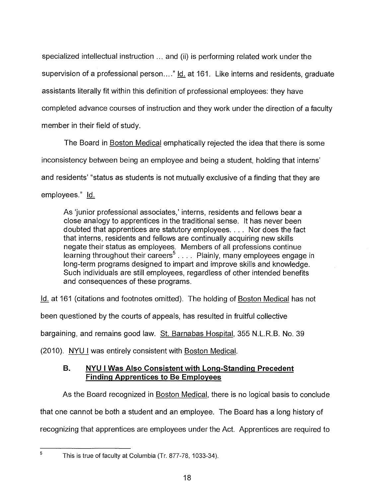specialized intellectual instruction ... and (ii) is performing related work under the supervision of a professional person...." Id. at 161. Like interns and residents, graduate assistants literally fit within this definition of professional employees: they have completed advance courses of instruction and they work under the direction of a faculty member in their field of study.

The Board in Boston Medical emphatically rejected the idea that there is some inconsistency between being an employee and being a student, holding that interns' and residents' "status as students is not mutually exclusive of a finding that they are employees." Id.

As 'junior professional associates,' interns, residents and fellows bear a close analogy to apprentices in the traditional sense. It has never been doubted that apprentices are statutory employees. . . . Nor does the fact that interns, residents and fellows are continually acquiring new skills negate their status as employees. Members of all professions continue learning throughout their careers<sup>5</sup>. . . . Plainly, many employees engage in long-term programs designed to impart and improve skills and knowledge. Such individuals are still employees, regardless of other intended benefits and consequences of these programs.

Id. at 161 (citations and footnotes omitted). The holding of Boston Medical has not

been questioned by the courts of appeals, has resulted in fruitful collective

bargaining, and remains good law. St. Barnabas Hospital, 355 N.L.R.B. No. 39

(2010). NYU I was entirely consistent with Boston Medical.

# **B. NYU I Was Also Consistent with Long-Standing Precedent Finding Apprentices to Be Employees**

As the Board recognized in Boston Medical, there is no logical basis to conclude that one cannot be both a student and an employee. The Board has a long history of recognizing that apprentices are employees under the Act. Apprentices are required to

 $5$  This is true of faculty at Columbia (Tr. 877-78, 1033-34).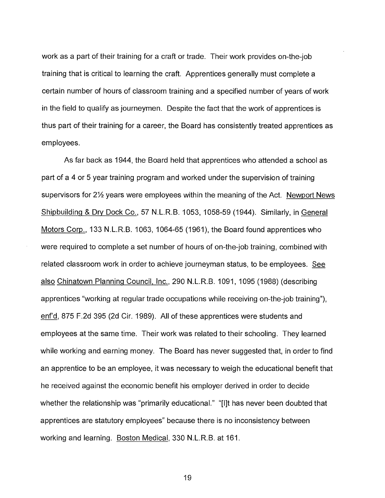work as a part of their training for a craft or trade. Their work provides on-the-job training that is critical to learning the craft. Apprentices generally must complete a certain number of hours of classroom training and a specified number of years of work in the field to qualify as journeymen. Despite the fact that the work of apprentices is thus part of their training for a career, the Board has consistently treated apprentices as employees.

As far back as 1944, the Board held that apprentices who attended a school as part of a 4 or 5 year training program and worked under the supervision of training supervisors for 2% years were employees within the meaning of the Act. Newport News Shipbuilding & Dry Dock Co., 57 N.L.R.B. 1053, 1058-59 (1944). Similarly, in General Motors Corp., 133 N.L.R.B. 1063, 1064-65 (1961), the Board found apprentices who were required to complete a set number of hours of on-the-job training, combined with related classroom work in order to achieve journeyman status, to be employees. See also Chinatown Planning Council, Inc., 290 N.L.R.B. 1091, 1095 (1988) (describing apprentices "working at regular trade occupations while receiving on-the-job training"), enf'd, 875 F.2d 395 (2d Cir. 1989). All of these apprentices were students and employees at the same time. Their work was related to their schooling. They learned while working and earning money. The Board has never suggested that, in order to find an apprentice to be an employee, it was necessary to weigh the educational benefit that he received against the economic benefit his employer derived in order to decide whether the relationship was "primarily educational." "[I]t has never been doubted that apprentices are statutory employees" because there is no inconsistency between working and learning. Boston Medical, 330 N.L.R.B. at 161.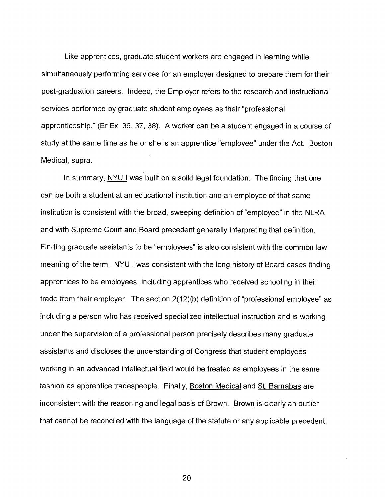Like apprentices, graduate student workers are engaged in learning while simultaneously performing services for an employer designed to prepare them for their post-graduation careers. Indeed, the Employer refers to the research and instructional services performed by graduate student employees as their "professional apprenticeship." (Er Ex. 36, 37, 38). A worker can be a student engaged in a course of study at the same time as he or she is an apprentice "employee" under the Act. Boston Medical, supra.

In summary, NYU I was built on a solid legal foundation. The finding that one can be both a student at an educational institution and an employee of that same institution is consistent with the broad, sweeping definition of "employee" in the NLRA and with Supreme Court and Board precedent generally interpreting that definition. Finding graduate assistants to be "employees" is also consistent with the common law meaning of the term. NYU I was consistent with the long history of Board cases finding apprentices to be employees, including apprentices who received schooling in their trade from their employer. The section 2(12)(b) definition of "professional employee" as including a person who has received specialized intellectual instruction and is working under the supervision of a professional person precisely describes many graduate assistants and discloses the understanding of Congress that student employees working in an advanced intellectual field would be treated as employees in the same fashion as apprentice tradespeople. Finally, Boston Medical and St. Barnabas are inconsistent with the reasoning and legal basis of Brown. Brown is clearly an outlier that cannot be reconciled with the language of the statute or any applicable precedent.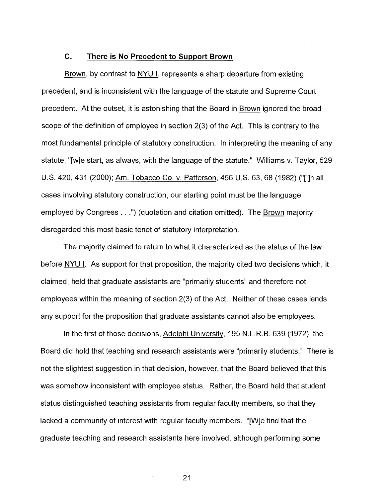# **C. There is No Precedent to Support Brown**

Brown, by contrast to NYU I, represents a sharp departure from existing precedent, and is inconsistent with the language of the statute and Supreme Court precedent. At the outset, it is astonishing that the Board in Brown ignored the broad scope of the definition of employee in section 2(3) of the Act. This is contrary to the most fundamental principle of statutory construction. In interpreting the meaning of any statute, "[w]e start, as always, with the language of the statute." Williams v. Taylor, 529 U.S. 420, 431 (2000); Am. Tobacco Co. v. Patterson, 456 U.S. 63, 68 (1982) ("[I]n all cases involving statutory construction, our starting point must be the language employed by Congress. . .") (quotation and citation omitted). The Brown majority disregarded this most basic tenet of statutory interpretation.

The majority claimed to return to what it characterized as the status of the law before NYU I. As support for that proposition, the majority cited two decisions which, it claimed, held that graduate assistants are "primarily students" and therefore not employees within the meaning of section 2(3) of the Act. Neither of these cases lends any support for the proposition that graduate assistants cannot also be employees.

In the first of those decisions, Adelphi University, 195 N.L.R.B. 639 (1972), the Board did hold that teaching and research assistants were "primarily students." There is not the slightest suggestion in that decision, however, that the Board believed that this was somehow inconsistent with employee status. Rather, the Board held that student status distinguished teaching assistants from regular faculty members, so that they lacked a community of interest with regular faculty members. "[W]e find that the graduate teaching and research assistants here involved, although performing some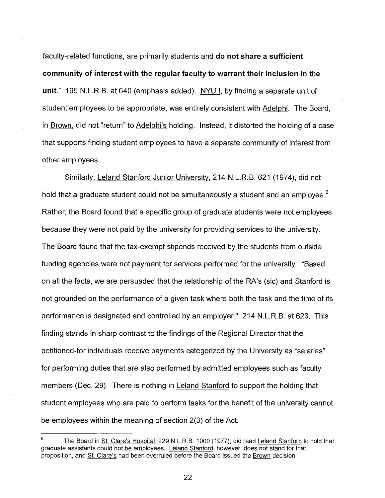faculty-related functions, are primarily students and **do not share a sufficient community of interest with the regular faculty to warrant their inclusion in the unit."** 195 N.L.R.B. at 640 (emphasis added). NYU I, by finding a separate unit of student employees to be appropriate, was entirely consistent with Adelphi. The Board, in Brown, did not "return" to Adelphi's holding. Instead, it distorted the holding of a case that supports finding student employees to have a separate community of interest from other employees.

Similarly, Leland Stanford Junior University, 214 N.L.R.B. 621 (1974), did not hold that a graduate student could not be simultaneously a student and an employee.<sup>6</sup> Rather, the Board found that a specific group of graduate students were not employees because they were not paid by the university for providing services to the university. The Board found that the tax-exempt stipends received by the students from outside funding agencies were not payment for services performed for the university. "Based on all the facts, we are persuaded that the relationship of the RA's (sic) and Stanford is not grounded on the performance of a given task where both the task and the time of its performance is designated and controlled by an employer." 214 N.L.R.B. at 623. This finding stands in sharp contrast to the findings of the Regional Director that the petitioned-for individuals receive payments categorized by the University as "salaries" for performing duties that are also performed by admitted employees such as faculty members (Dec. 29). There is nothing in Leland Stanford to support the holding that student employees who are paid to perform tasks for the benefit of the university cannot be employees within the meaning of section 2(3) of the Act.

The Board in St. Clare's Hospital, 229 N.L.R.B. 1000 (1977), did read Leland Stanford to hold that graduate assistants could not be employees. Leland Stanford, however, does not stand for that proposition, and St. Clare's had been overruled before the Board issued the Brown decision.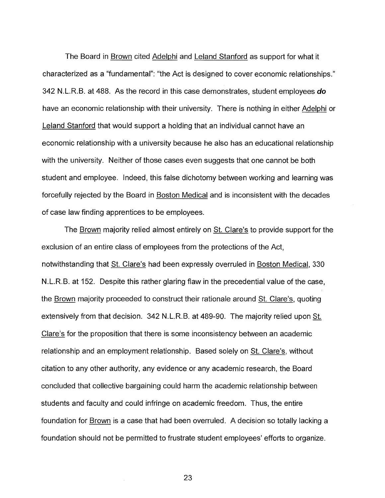The Board in Brown cited Adelphi and Leland Stanford as support for what it characterized as a "fundamental": "the Act is designed to cover economic relationships." 342 N.L.R.B. at 488. As the record in this case demonstrates, student employees **do**  have an economic relationship with their university. There is nothing in either Adelphi or Leland Stanford that would support a holding that an individual cannot have an economic relationship with a university because he also has an educational relationship with the university. Neither of those cases even suggests that one cannot be both student and employee. Indeed, this false dichotomy between working and learning was forcefully rejected by the Board in Boston Medical and is inconsistent with the decades of case law finding apprentices to be employees.

The Brown majority relied almost entirely on St. Clare's to provide support for the exclusion of an entire class of employees from the protections of the Act, notwithstanding that St. Clare's had been expressly overruled in Boston Medical, 330 N.L.R.B. at 152. Despite this rather glaring flaw in the precedential value of the case, the Brown majority proceeded to construct their rationale around St. Clare's, quoting extensively from that decision. 342 N.L.R.B. at 489-90. The majority relied upon St. Clare's for the proposition that there is some inconsistency between an academic relationship and an employment relationship. Based solely on St. Clare's, without citation to any other authority, any evidence or any academic research, the Board concluded that collective bargaining could harm the academic relationship between students and faculty and could infringe on academic freedom. Thus, the entire foundation for Brown is a case that had been overruled. A decision so totally lacking a foundation should not be permitted to frustrate student employees' efforts to organize.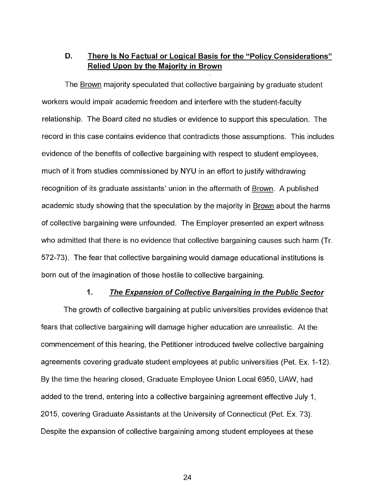# **D. There Is No Factual or Logical Basis for the "Policy Considerations" Relied Upon by the Majority in Brown**

The Brown majority speculated that collective bargaining by graduate student workers would impair academic freedom and interfere with the student-faculty relationship. The Board cited no studies or evidence to support this speculation. The record in this case contains evidence that contradicts those assumptions. This includes evidence of the benefits of collective bargaining with respect to student employees, much of it from studies commissioned by NYU in an effort to justify withdrawing recognition of its graduate assistants' union in the aftermath of Brown. A published academic study showing that the speculation by the majority in Brown about the harms of collective bargaining were unfounded. The Employer presented an expert witness who admitted that there is no evidence that collective bargaining causes such harm (Tr. 572-73). The fear that collective bargaining would damage educational institutions is born out of the imagination of those hostile to collective bargaining.

#### **1. The Expansion of Collective Bargaining in the Public Sector**

The growth of collective bargaining at public universities provides evidence that fears that collective bargaining will damage higher education are unrealistic. At the commencement of this hearing, the Petitioner introduced twelve collective bargaining agreements covering graduate student employees at public universities (Pet. Ex. 1-12). By the time the hearing closed, Graduate Employee Union Local 6950, UAW, had added to the trend, entering into a collective bargaining agreement effective July 1, 2015, covering Graduate Assistants at the University of Connecticut (Pet. Ex. 73). Despite the expansion of collective bargaining among student employees at these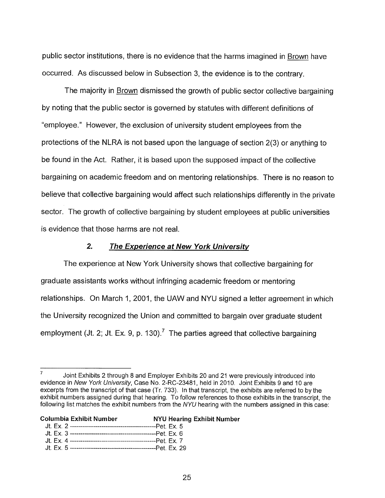public sector institutions, there is no evidence that the harms imagined in Brown have occurred. As discussed below in Subsection 3, the evidence is to the contrary.

The majority in Brown dismissed the growth of public sector collective bargaining by noting that the public sector is governed by statutes with different definitions of "employee." However, the exclusion of university student employees from the protections of the NLRA is not based upon the language of section 2(3) or anything to be found in the Act. Rather, it is based upon the supposed impact of the collective bargaining on academic freedom and on mentoring relationships. There is no reason to believe that collective bargaining would affect such relationships differently in the private sector. The growth of collective bargaining by student employees at public universities is evidence that those harms are not real.

# **2. The Experience at New York University**

The experience at New York University shows that collective bargaining for graduate assistants works without infringing academic freedom or mentoring relationships. On March 1, 2001, the UAW and NYU signed a letter agreement in which the University recognized the Union and committed to bargain over graduate student employment (Jt. 2; Jt. Ex. 9, p. 130).<sup>7</sup> The parties agreed that collective bargaining

**Columbia Exhibit Number** 

#### **NYU Hearing Exhibit Number**

- Jt. Ex. 2 Pet. Ex. 5
- Jt. Ex. 3 Pet. Ex. 6
- Jt. Ex. 4 Pet. Ex. 7 Jt. Ex. 5 Pet. Ex. 29

 $\frac{7}{10}$  Joint Exhibits 2 through 8 and Employer Exhibits 20 and 21 were previously introduced into evidence in New York University, Case No. 2-RC-23481, held in 2010. Joint Exhibits 9 and 10 are excerpts from the transcript of that case (Tr. 733). **In** that transcript, the exhibits are referred to by the exhibit numbers assigned during that hearing. To follow references to those exhibits in the transcript, the following list matches the exhibit numbers from the NYU hearing with the numbers assigned in this case: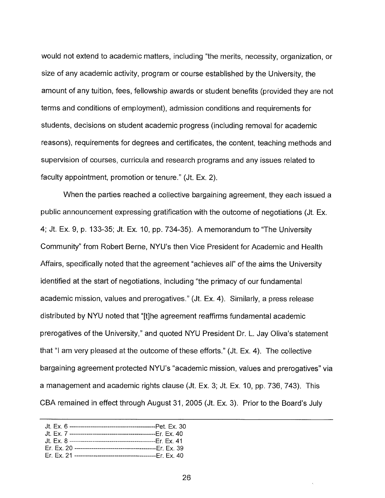would not extend to academic matters, including "the merits, necessity, organization, or size of any academic activity, program or course established by the University, the amount of any tuition, fees, fellowship awards or student benefits (provided they are not terms and conditions of employment), admission conditions and requirements for students, decisions on student academic progress (including removal for academic reasons), requirements for degrees and certificates, the content, teaching methods and supervision of courses, curricula and research programs and any issues related to faculty appointment, promotion or tenure." (Jt. Ex. 2).

When the parties reached a collective bargaining agreement, they each issued a public announcement expressing gratification with the outcome of negotiations (Jt. Ex. 4; Jt. Ex. 9, p. 133-35; Jt. Ex. 10, pp. 734-35). A memorandum to "The University Community" from Robert Berne, NYU's then Vice President for Academic and Health Affairs, specifically noted that the agreement "achieves all" of the aims the University identified at the start of negotiations, including "the primacy of our fundamental academic mission, values and prerogatives." (Jt. Ex. 4). Similarly, a press release distributed by NYU noted that "[t]he agreement reaffirms fundamental academic prerogatives of the University," and quoted NYU President Dr. L. Jay Oliva's statement that "I am very pleased at the outcome of these efforts." (Jt. Ex. 4). The collective bargaining agreement protected NYU's "academic mission, values and prerogatives" via a management and academic rights clause (Jt. Ex. 3; Jt. Ex. 10, pp. 736, 743). This CBA remained in effect through August 31, 2005 (Jt. Ex. 3). Prior to the Board's July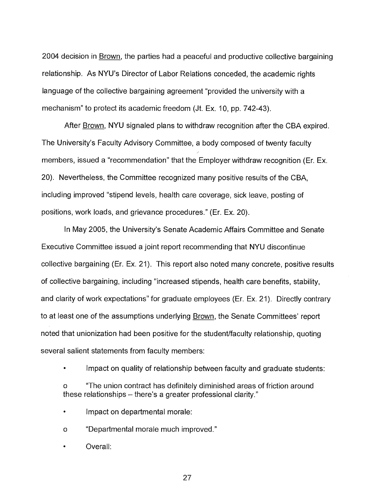2004 decision in Brown, the parties had a peaceful and productive collective bargaining relationship. As NYU's Director of Labor Relations conceded, the academic rights language of the collective bargaining agreement "provided the university with a mechanism" to protect its academic freedom (Jt. Ex. 10, pp. 742-43).

After Brown, NYU signaled plans to withdraw recognition after the CBA expired. The University's Faculty Advisory Committee, a body composed of twenty faculty members, issued a "recommendation" that the Employer withdraw recognition (Er. Ex. 20). Nevertheless, the Committee recognized many positive results of the CBA, including improved "stipend levels, health care coverage, sick leave, posting of positions, work loads, and grievance procedures." (Er. Ex. 20).

In May 2005, the University's Senate Academic Affairs Committee and Senate Executive Committee issued a joint report recommending that NYU discontinue collective bargaining (Er. Ex. 21). This report also noted many concrete, positive results of collective bargaining, including "increased stipends, health care benefits, stability, and clarity of work expectations" for graduate employees (Er. Ex. 21). Directly contrary to at least one of the assumptions underlying Brown, the Senate Committees' report noted that unionization had been positive for the student/faculty relationship, quoting several salient statements from faculty members:

Impact on quality of relationship between faculty and graduate students:

"The union contract has definitely diminished areas of friction around these relationships — there's a greater professional clarity."

- Impact on departmental morale:
- o "Departmental morale much improved."
- Overall: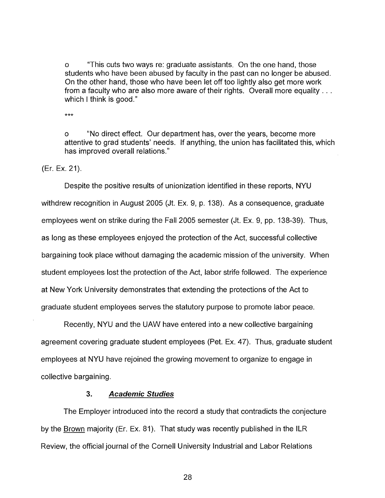o "This cuts two ways re: graduate assistants. On the one hand, those students who have been abused by faculty in the past can no longer be abused. On the other hand, those who have been let off too lightly also get more work from a faculty who are also more aware of their rights. Overall more equality. . . which I think is good."

\*\*\*

o "No direct effect. Our department has, over the years, become more attentive to grad students' needs. If anything, the union has facilitated this, which has improved overall relations."

(Er. Ex. 21).

Despite the positive results of unionization identified in these reports, NYU withdrew recognition in August 2005 (Jt. Ex. 9, p. 138). As a consequence, graduate employees went on strike during the Fall 2005 semester (Jt. Ex. 9, pp. 138-39). Thus, as long as these employees enjoyed the protection of the Act, successful collective bargaining took place without damaging the academic mission of the university. When student employees lost the protection of the Act, labor strife followed. The experience at New York University demonstrates that extending the protections of the Act to graduate student employees serves the statutory purpose to promote labor peace.

Recently, NYU and the UAW have entered into a new collective bargaining agreement covering graduate student employees (Pet. Ex. 47). Thus, graduate student employees at NYU have rejoined the growing movement to organize to engage in collective bargaining.

#### **3. Academic Studies**

The Employer introduced into the record a study that contradicts the conjecture by the Brown majority (Er. Ex. 81). That study was recently published in the ILR Review, the official journal of the Cornell University Industrial and Labor Relations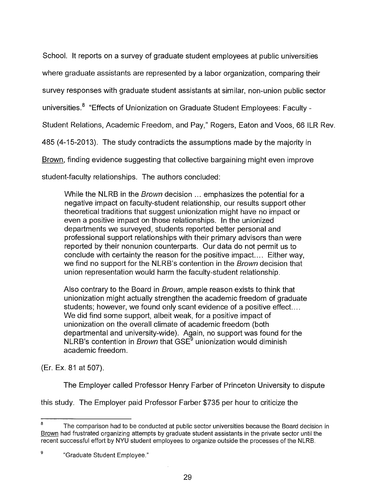School. It reports on a survey of graduate student employees at public universities

where graduate assistants are represented by a labor organization, comparing their

survey responses with graduate student assistants at similar, non-union public sector

universities.<sup>8</sup> "Effects of Unionization on Graduate Student Employees: Faculty -

Student Relations, Academic Freedom, and Pay," Rogers, Eaton and Voos, 66 ILR Rev.

485 (4-15-2013). The study contradicts the assumptions made by the majority in

Brown, finding evidence suggesting that collective bargaining might even improve

student-faculty relationships. The authors concluded:

While the NLRB in the *Brown* decision ... emphasizes the potential for a negative impact on faculty-student relationship, our results support other theoretical traditions that suggest unionization might have no impact or even a positive impact on those relationships. In the unionized departments we surveyed, students reported better personal and professional support relationships with their primary advisors than were reported by their nonunion counterparts. Our data do not permit us to conclude with certainty the reason for the positive impact.... Either way, we find no support for the NLRB's contention in the Brown decision that union representation would harm the faculty-student relationship.

Also contrary to the Board in Brown, ample reason exists to think that unionization might actually strengthen the academic freedom of graduate students; however, we found only scant evidence of a positive effect.... We did find some support, albeit weak, for a positive impact of unionization on the overall climate of academic freedom (both departmental and university-wide). Again, no support was found for the NLRB's contention in Brown that GSE<sup>9</sup> unionization would diminish academic freedom.

(Er. Ex. 81 at 507).

The Employer called Professor Henry Farber of Princeton University to dispute

this study. The Employer paid Professor Farber \$735 per hour to criticize the

<sup>&</sup>lt;sup>8</sup> The comparison had to be conducted at public sector universities because the Board decision in Brown had frustrated organizing attempts by graduate student assistants in the private sector until the recent successful effort by NYU student employees to organize outside the processes of the NLRB.

<sup>&</sup>lt;sup>9</sup> <sup>9</sup> Graduate Student Employee."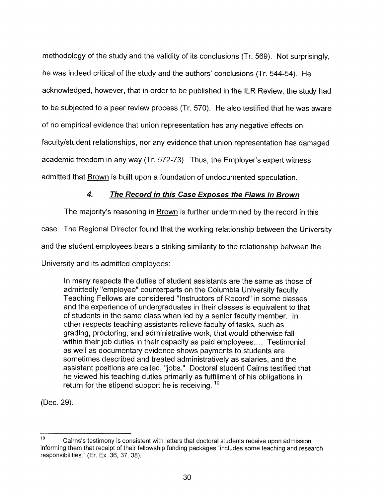methodology of the study and the validity of its conclusions (Tr. 569). Not surprisingly, he was indeed critical of the study and the authors' conclusions (Tr. 544-54). He acknowledged, however, that in order to be published in the ILR Review, the study had to be subjected to a peer review process (Tr. 570). He also testified that he was aware of no empirical evidence that union representation has any negative effects on faculty/student relationships, nor any evidence that union representation has damaged academic freedom in any way (Tr. 572-73). Thus, the Employer's expert witness admitted that Brown is built upon a foundation of undocumented speculation.

# **4. The Record in this Case Exposes the Flaws in Brown**

The majority's reasoning in Brown is further undermined by the record in this case. The Regional Director found that the working relationship between the University and the student employees bears a striking similarity to the relationship between the University and its admitted employees:

In many respects the duties of student assistants are the same as those of admittedly "employee" counterparts on the Columbia University faculty. Teaching Fellows are considered "Instructors of Record" in some classes and the experience of undergraduates in their classes is equivalent to that of students in the same class when led by a senior faculty member. In other respects teaching assistants relieve faculty of tasks, such as grading, proctoring, and administrative work, that would otherwise fall within their job duties in their capacity as paid employees.... Testimonial as well as documentary evidence shows payments to students are sometimes described and treated administratively as salaries, and the assistant positions are called, "jobs." Doctoral student Cairns testified that he viewed his teaching duties primarily as fulfillment of his obligations in return for the stipend support he is receiving.<sup>10</sup>

(Dec. 29).

<sup>&</sup>lt;sup>10</sup> Cairns's testimony is consistent with letters that doctoral students receive upon admission, informing them that receipt of their fellowship funding packages "includes some teaching and research responsibilities." (Er. Ex. 36, 37, 38).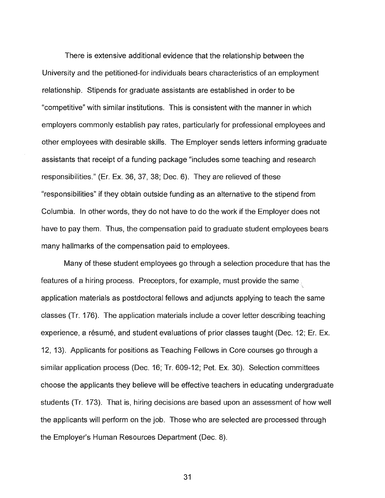There is extensive additional evidence that the relationship between the University and the petitioned-for individuals bears characteristics of an employment relationship. Stipends for graduate assistants are established in order to be "competitive" with similar institutions. This is consistent with the manner in which employers commonly establish pay rates, particularly for professional employees and other employees with desirable skills. The Employer sends letters informing graduate assistants that receipt of a funding package "includes some teaching and research responsibilities." (Er. Ex. 36, 37, 38; Dec. 6). They are relieved of these "responsibilities" if they obtain outside funding as an alternative to the stipend from Columbia. In other words, they do not have to do the work if the Employer does not have to pay them. Thus, the compensation paid to graduate student employees bears many hallmarks of the compensation paid to employees.

Many of these student employees go through a selection procedure that has the features of a hiring process. Preceptors, for example, must provide the same. application materials as postdoctoral fellows and adjuncts applying to teach the same classes (Tr. 176). The application materials include a cover letter describing teaching experience, a résumé, and student evaluations of prior classes taught (Dec. 12; Er. Ex. 12, 13). Applicants for positions as Teaching Fellows in Core courses go through a similar application process (Dec. 16; Tr. 609-12; Pet. Ex. 30). Selection committees choose the applicants they believe will be effective teachers in educating undergraduate students (Tr. 173). That is, hiring decisions are based upon an assessment of how well the applicants will perform on the job. Those who are selected are processed through the Employer's Human Resources Department (Dec. 8).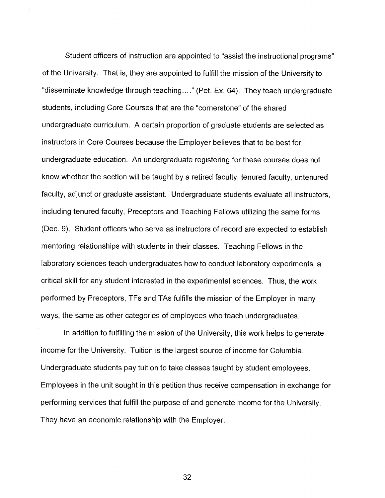Student officers of instruction are appointed to "assist the instructional programs" of the University. That is, they are appointed to fulfill the mission of the University to "disseminate knowledge through teaching...." (Pet. Ex. 64). They teach undergraduate students, including Core Courses that are the "cornerstone" of the shared undergraduate curriculum. A certain proportion of graduate students are selected as instructors in Core Courses because the Employer believes that to be best for undergraduate education. An undergraduate registering for these courses does not know whether the section will be taught by a retired faculty, tenured faculty, untenured faculty, adjunct or graduate assistant. Undergraduate students evaluate all instructors, including tenured faculty, Preceptors and Teaching Fellows utilizing the same forms (Dec. 9). Student officers who serve as instructors of record are expected to establish mentoring relationships with students in their classes. Teaching Fellows in the laboratory sciences teach undergraduates how to conduct laboratory experiments, a critical skill for any student interested in the experimental sciences. Thus, the work performed by Preceptors, TFs and TAs fulfills the mission of the Employer in many ways, the same as other categories of employees who teach undergraduates.

In addition to fulfilling the mission of the University, this work helps to generate income for the University. Tuition is the largest source of income for Columbia. Undergraduate students pay tuition to take classes taught by student employees. Employees in the unit sought in this petition thus receive compensation in exchange for performing services that fulfill the purpose of and generate income for the University. They have an economic relationship with the Employer.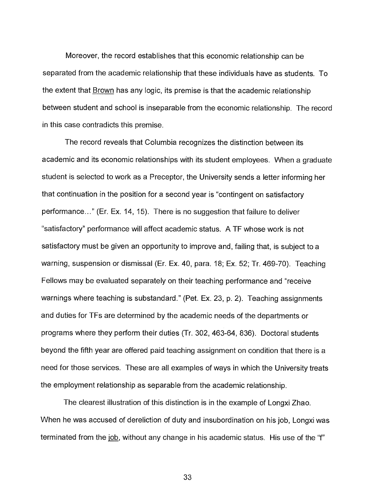Moreover, the record establishes that this economic relationship can be separated from the academic relationship that these individuals have as students. To the extent that Brown has any logic, its premise is that the academic relationship between student and school is inseparable from the economic relationship. The record in this case contradicts this premise.

The record reveals that Columbia recognizes the distinction between its academic and its economic relationships with its student employees. When a graduate student is selected to work as a Preceptor, the University sends a letter informing her that continuation in the position for a second year is "contingent on satisfactory performance..." (Er. Ex. 14, 15). There is no suggestion that failure to deliver "satisfactory" performance will affect academic status. A TF whose work is not satisfactory must be given an opportunity to improve and, failing that, is subject to a warning, suspension or dismissal (Er. Ex. 40, para. 18; Ex. 52; Tr. 469-70). Teaching Fellows may be evaluated separately on their teaching performance and "receive warnings where teaching is substandard." (Pet. Ex. 23, p. 2). Teaching assignments and duties for TFs are determined by the academic needs of the departments or programs where they perform their duties (Tr. 302, 463-64, 836). Doctoral students beyond the fifth year are offered paid teaching assignment on condition that there is a need for those services. These are all examples of ways in which the University treats the employment relationship as separable from the academic relationship.

The clearest illustration of this distinction is in the example of Longxi Zhao. When he was accused of dereliction of duty and insubordination on his job, Longxi was terminated from the job, without any change in his academic status. His use of the "f"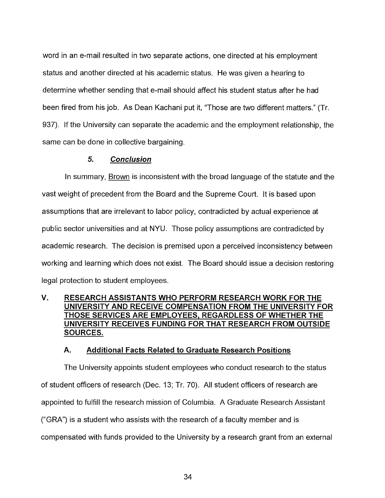word in an e-mail resulted in two separate actions, one directed at his employment status and another directed at his academic status. He was given a hearing to determine whether sending that e-mail should affect his student status after he had been fired from his job. As Dean Kachani put it, "Those are two different matters." (Tr. 937). If the University can separate the academic and the employment relationship, the same can be done in collective bargaining.

## **5. Conclusion**

In summary, Brown is inconsistent with the broad language of the statute and the vast weight of precedent from the Board and the Supreme Court. It is based upon assumptions that are irrelevant to labor policy, contradicted by actual experience at public sector universities and at NYU. Those policy assumptions are contradicted by academic research. The decision is premised upon a perceived inconsistency between working and learning which does not exist. The Board should issue a decision restoring legal protection to student employees.

# **V. RESEARCH ASSISTANTS WHO PERFORM RESEARCH WORK FOR THE UNIVERSITY AND RECEIVE COMPENSATION FROM THE UNIVERSITY FOR THOSE SERVICES ARE EMPLOYEES, REGARDLESS OF WHETHER THE UNIVERSITY RECEIVES FUNDING FOR THAT RESEARCH FROM OUTSIDE SOURCES.**

#### **A. Additional Facts Related to Graduate Research Positions**

The University appoints student employees who conduct research to the status of student officers of research (Dec. 13; Tr. 70). All student officers of research are appointed to fulfill the research mission of Columbia. A Graduate Research Assistant ("GRA") is a student who assists with the research of a faculty member and is compensated with funds provided to the University by a research grant from an external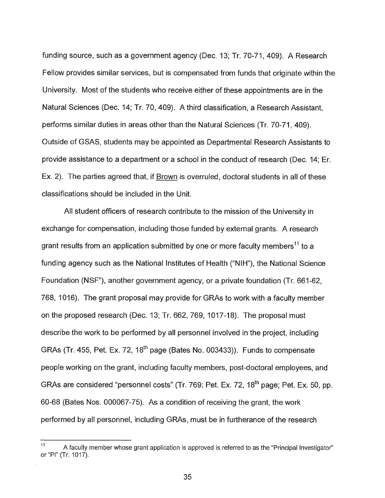funding source, such as a government agency (Dec. 13; Tr. 70-71, 409). A Research Fellow provides similar services, but is compensated from funds that originate within the University. Most of the students who receive either of these appointments are in the Natural Sciences (Dec. 14; Tr. 70, 409). A third classification, a Research Assistant, performs similar duties in areas other than the Natural Sciences (Tr. 70-71, 409). Outside of GSAS, students may be appointed as Departmental Research Assistants to provide assistance to a department or a school in the conduct of research (Dec. 14; Er. Ex. 2). The parties agreed that, if Brown is overruled, doctoral students in all of these classifications should be included in the Unit.

All student officers of research contribute to the mission of the University in exchange for compensation, including those funded by external grants. A research grant results from an application submitted by one or more faculty members<sup>11</sup> to a funding agency such as the National Institutes of Health ("NIH"), the National Science Foundation (NSF"), another government agency, or a private foundation (Tr. 661-62, 768, 1016). The grant proposal may provide for GRAs to work with a faculty member on the proposed research (Dec. 13; Tr. 662, 769, 1017-18). The proposal must describe the work to be performed by all personnel involved in the project, including GRAs (Tr. 455, Pet. Ex. 72,  $18<sup>th</sup>$  page (Bates No. 003433)). Funds to compensate people working on the grant, including faculty members, post-doctoral employees, and GRAs are considered "personnel costs" (Tr. 769; Pet. Ex. 72, 18th page; Pet. Ex. 50, pp. 60-68 (Bates Nos. 000067-75). As a condition of receiving the grant, the work performed by all personnel, including GRAs, must be in furtherance of the research

 $11$  A faculty member whose grant application is approved is referred to as the "Principal Investigator" or "Pl" (Tr. 1017).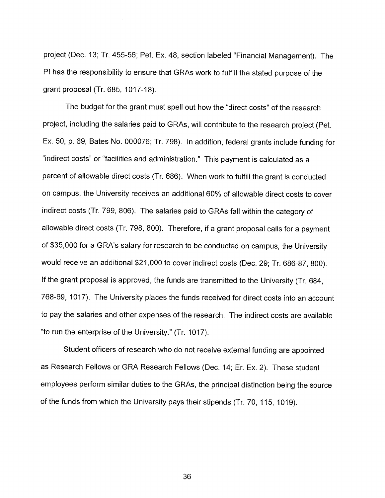project (Dec. 13; Tr. 455-56; Pet. Ex. 48, section labeled "Financial Management). The PI has the responsibility to ensure that GRAs work to fulfill the stated purpose of the grant proposal (Tr. 685, 1017-18).

The budget for the grant must spell out how the "direct costs" of the research project, including the salaries paid to GRAs, will contribute to the research project (Pet. Ex. 50, p. 69, Bates No. 000076; Tr. 798). In addition, federal grants include funding for "indirect costs" or "facilities and administration." This payment is calculated as a percent of allowable direct costs (Tr. 686). When work to fulfill the grant is conducted on campus, the University receives an additional 60% of allowable direct costs to cover indirect costs (Tr. 799, 806). The salaries paid to GRAs fall within the category of allowable direct costs (Tr. 798, 800). Therefore, if a grant proposal calls for a payment of \$35,000 for a GRA's salary for research to be conducted on campus, the University would receive an additional \$21,000 to cover indirect costs (Dec. 29; Tr. 686-87, 800). If the grant proposal is approved, the funds are transmitted to the University (Tr. 684, 768-69, 1017). The University places the funds received for direct costs into an account to pay the salaries and other expenses of the research. The indirect costs are available "to run the enterprise of the University." (Tr. 1017).

Student officers of research who do not receive external funding are appointed as Research Fellows or GRA Research Fellows (Dec. 14; Er. Ex. 2). These student employees perform similar duties to the GRAs, the principal distinction being the source of the funds from which the University pays their stipends (Tr. 70, 115, 1019).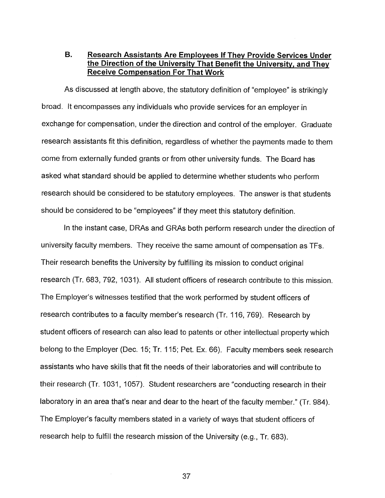# **B. Research Assistants Are Employees If They Provide Services Under the Direction of the University That Benefit the University, and They Receive Compensation For That Work**

As discussed at length above, the statutory definition of "employee" is strikingly broad. It encompasses any individuals who provide services for an employer in exchange for compensation, under the direction and control of the employer. Graduate research assistants fit this definition, regardless of whether the payments made to them come from externally funded grants or from other university funds. The Board has asked what standard should be applied to determine whether students who perform research should be considered to be statutory employees. The answer is that students should be considered to be "employees" if they meet this statutory definition.

In the instant case, DRAs and GRAs both perform research under the direction of university faculty members. They receive the same amount of compensation as TFs. Their research benefits the University by fulfilling its mission to conduct original research (Tr. 683, 792, 1031). All student officers of research contribute to this mission. The Employer's witnesses testified that the work performed by student officers of research contributes to a faculty member's research (Tr. 116, 769). Research by student officers of research can also lead to patents or other intellectual property which belong to the Employer (Dec. 15; Tr. 115; Pet. Ex. 66). Faculty members seek research assistants who have skills that fit the needs of their laboratories and will contribute to their research (Tr. 1031, 1057). Student researchers are "conducting research in their laboratory in an area that's near and dear to the heart of the faculty member." (Tr. 984). The Employer's faculty members stated in a variety of ways that student officers of research help to fulfill the research mission of the University (e.g., Tr. 683).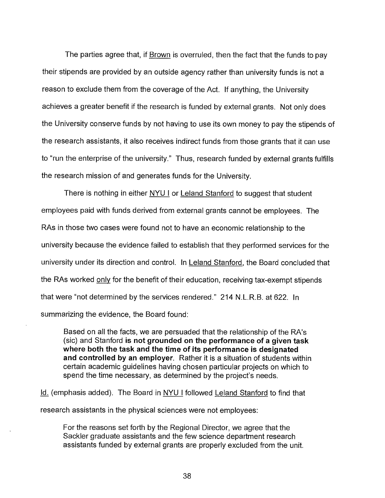The parties agree that, if **Brown** is overruled, then the fact that the funds to pay their stipends are provided by an outside agency rather than university funds is not a reason to exclude them from the coverage of the Act. If anything, the University achieves a greater benefit if the research is funded by external grants. Not only does the University conserve funds by not having to use its own money to pay the stipends of the research assistants, it also receives indirect funds from those grants that it can use to "run the enterprise of the university." Thus, research funded by external grants fulfills the research mission of and generates funds for the University.

There is nothing in either NYU I or Leland Stanford to suggest that student employees paid with funds derived from external grants cannot be employees. The RAs in those two cases were found not to have an economic relationship to the university because the evidence failed to establish that they performed services for the university under its direction and control. In Leland Stanford, the Board concluded that the RAs worked only for the benefit of their education, receiving tax-exempt stipends that were "not determined by the services rendered." 214 N.L.R.B. at 622. In summarizing the evidence, the Board found:

Based on all the facts, we are persuaded that the relationship of the RA's (sic) and Stanford **is not grounded on the performance of a given task where both the task and the time of its performance is designated and controlled by an employer.** Rather it is a situation of students within certain academic guidelines having chosen particular projects on which to spend the time necessary, as determined by the project's needs.

Id. (emphasis added). The Board in NYU I followed Leland Stanford to find that research assistants in the physical sciences were not employees:

For the reasons set forth by the Regional Director, we agree that the Sackler graduate assistants and the few science department research assistants funded by external grants are properly excluded from the unit.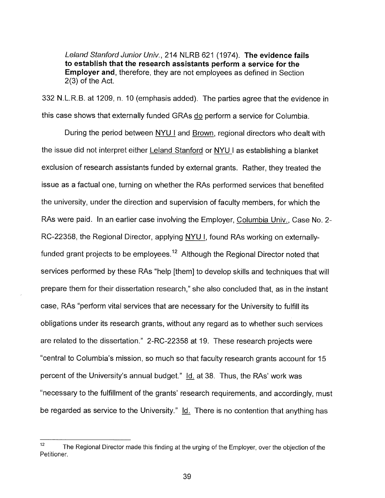Leland Stanford Junior Univ., 214 NLRB 621 (1974). **The evidence fails to establish that the research assistants perform a service for the Employer and,** therefore, they are not employees as defined in Section 2(3) of the Act.

332 N.L.R.B. at 1209, n. 10 (emphasis added). The parties agree that the evidence in this case shows that externally funded GRAs do perform a service for Columbia.

During the period between NYU I and Brown, regional directors who dealt with the issue did not interpret either Leland Stanford or NYU I as establishing a blanket exclusion of research assistants funded by external grants. Rather, they treated the issue as a factual one, turning on whether the RAs performed services that benefited the university, under the direction and supervision of faculty members, for which the RAs were paid. In an earlier case involving the Employer, Columbia Univ., Case No. 2- RC-22358, the Regional Director, applying NYU I, found RAs working on externallyfunded grant projects to be employees.<sup>12</sup> Although the Regional Director noted that services performed by these RAs "help [them] to develop skills and techniques that will prepare them for their dissertation research," she also concluded that, as in the instant case, RAs "perform vital services that are necessary for the University to fulfill its obligations under its research grants, without any regard as to whether such services are related to the dissertation." 2-RC-22358 at 19. These research projects were "central to Columbia's mission, so much so that faculty research grants account for 15 percent of the University's annual budget." Id. at 38. Thus, the RAs' work was "necessary to the fulfillment of the grants' research requirements, and accordingly, must be regarded as service to the University." Id. There is no contention that anything has

<sup>&</sup>lt;sup>12</sup> The Regional Director made this finding at the urging of the Employer, over the objection of the Petitioner.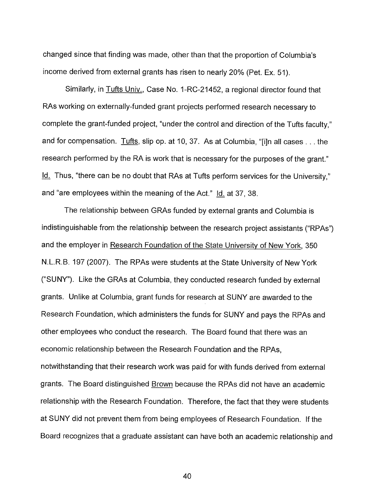changed since that finding was made, other than that the proportion of Columbia's income derived from external grants has risen to nearly 20% (Pet. Ex. 51).

Similarly, in Tufts Univ., Case No. 1-RC-21452, a regional director found that RAs working on externally-funded grant projects performed research necessary to complete the grant-funded project, "under the control and direction of the Tufts faculty," and for compensation. Tufts, slip op. at 10, 37. As at Columbia, "[i]n all cases . . . the research performed by the RA is work that is necessary for the purposes of the grant." Id. Thus, "there can be no doubt that RAs at Tufts perform services for the University," and "are employees within the meaning of the Act." Id. at 37, 38.

The relationship between GRAs funded by external grants and Columbia is indistinguishable from the relationship between the research project assistants ("RPAs") and the employer in Research Foundation of the State University of New York, 350 N.L.R.B. 197 (2007). The RPAs were students at the State University of New York ("SUNY"). Like the GRAs at Columbia, they conducted research funded by external grants. Unlike at Columbia, grant funds for research at SUNY are awarded to the Research Foundation, which administers the funds for SUNY and pays the RPAs and other employees who conduct the research. The Board found that there was an economic relationship between the Research Foundation and the RPAs, notwithstanding that their research work was paid for with funds derived from external grants. The Board distinguished Brown because the RPAs did not have an academic relationship with the Research Foundation. Therefore, the fact that they were students at SUNY did not prevent them from being employees of Research Foundation. If the Board recognizes that a graduate assistant can have both an academic relationship and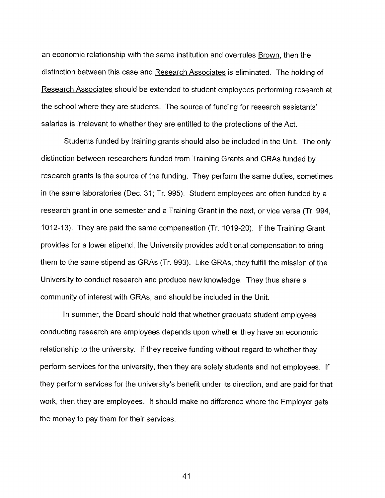an economic relationship with the same institution and overrules Brown, then the distinction between this case and Research Associates is eliminated. The holding of Research Associates should be extended to student employees performing research at the school where they are students. The source of funding for research assistants' salaries is irrelevant to whether they are entitled to the protections of the Act.

Students funded by training grants should also be included in the Unit. The only distinction between researchers funded from Training Grants and GRAs funded by research grants is the source of the funding. They perform the same duties, sometimes in the same laboratories (Dec. 31; Tr. 995). Student employees are often funded by a research grant in one semester and a Training Grant in the next, or vice versa (Tr. 994, 1012-13). They are paid the same compensation (Tr. 1019-20). If the Training Grant provides for a lower stipend, the University provides additional compensation to bring them to the same stipend as GRAs (Tr. 993). Like GRAs, they fulfill the mission of the University to conduct research and produce new knowledge. They thus share a community of interest with GRAs, and should be included in the Unit.

In summer, the Board should hold that whether graduate student employees conducting research are employees depends upon whether they have an economic relationship to the university. If they receive funding without regard to whether they perform services for the university, then they are solely students and not employees. If they perform services for the university's benefit under its direction, and are paid for that work, then they are employees. It should make no difference where the Employer gets the money to pay them for their services.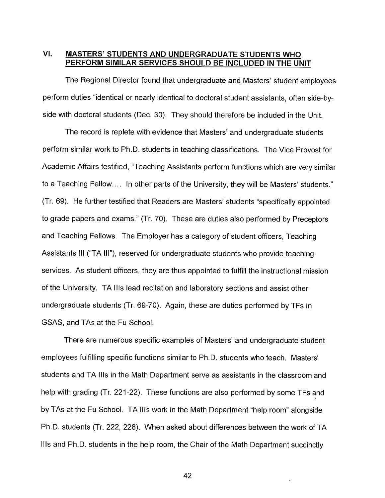# **VI. MASTERS' STUDENTS AND UNDERGRADUATE STUDENTS WHO PERFORM SIMILAR SERVICES SHOULD BE INCLUDED IN THE UNIT**

The Regional Director found that undergraduate and Masters' student employees perform duties "identical or nearly identical to doctoral student assistants, often side-byside with doctoral students (Dec. 30). They should therefore be included in the Unit.

The record is replete with evidence that Masters' and undergraduate students perform similar work to Ph.D. students in teaching classifications. The Vice Provost for Academic Affairs testified, "Teaching Assistants perform functions which are very similar to a Teaching Fellow.... In other parts of the University, they will be Masters' students." (Tr. 69). He further testified that Readers are Masters' students "specifically appointed to grade papers and exams." (Tr. 70). These are duties also performed by Preceptors and Teaching Fellows. The Employer has a category of student officers, Teaching Assistants III ("TA III"), reserved for undergraduate students who provide teaching services. As student officers, they are thus appointed to fulfill the instructional mission of the University. TA Ills lead recitation and laboratory sections and assist other undergraduate students (Tr. 69-70). Again, these are duties performed by TFs in GSAS, and TAs at the Fu School.

There are numerous specific examples of Masters' and undergraduate student employees fulfilling specific functions similar to Ph.D. students who teach. Masters' students and TA Ills in the Math Department serve as assistants in the classroom and help with grading (Tr. 221-22). These functions are also performed by some TFs and by TAs at the Fu School. TA Ills work in the Math Department "help room" alongside Ph.D. students (Tr. 222, 228). When asked about differences between the work of TA Ills and Ph.D. students in the help room, the Chair of the Math Department succinctly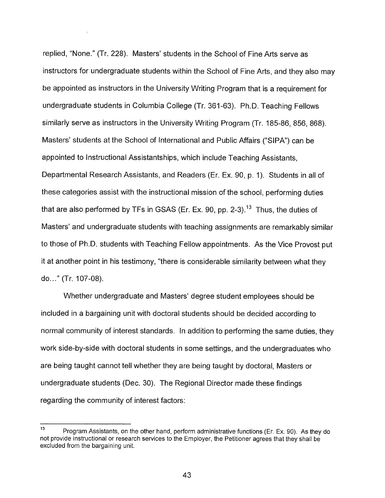replied, "None." (Tr. 228). Masters' students in the School of Fine Arts serve as instructors for undergraduate students within the School of Fine Arts, and they also may be appointed as instructors in the University Writing Program that is a requirement for undergraduate students in Columbia College (Tr. 361-63). Ph.D. Teaching Fellows similarly serve as instructors in the University Writing Program (Tr. 185-86, 856, 868). Masters' students at the School of International and Public Affairs ("SIPA") can be appointed to Instructional Assistantships, which include Teaching Assistants, Departmental Research Assistants, and Readers (Er. Ex. 90, p. 1). Students in all of these categories assist with the instructional mission of the school, performing duties that are also performed by TFs in GSAS (Er. Ex. 90, pp. 2-3).<sup>13</sup> Thus, the duties of Masters' and undergraduate students with teaching assignments are remarkably similar to those of Ph.D. students with Teaching Fellow appointments. As the Vice Provost put it at another point in his testimony, "there is considerable similarity between what they do..." (Tr. 107-08).

Whether undergraduate and Masters' degree student employees should be included in a bargaining unit with doctoral students should be decided according to normal community of interest standards. In addition to performing the same duties, they work side-by-side with doctoral students in some settings, and the undergraduates who are being taught cannot tell whether they are being taught by doctoral, Masters or undergraduate students (Dec. 30). The Regional Director made these findings regarding the community of interest factors:

<sup>&</sup>lt;sup>13</sup> Program Assistants, on the other hand, perform administrative functions (Er. Ex. 90). As they do not provide instructional or research services to the Employer, the Petitioner agrees that they shall be excluded from the bargaining unit.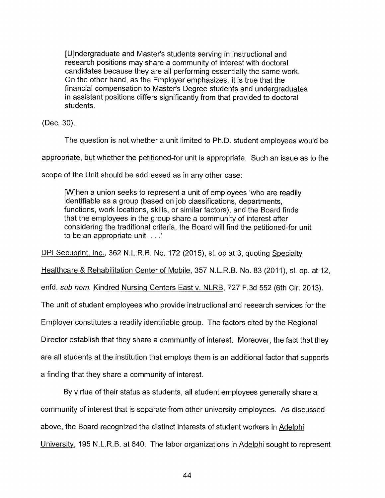[U]ndergraduate and Master's students serving in instructional and research positions may share a community of interest with doctoral candidates because they are all performing essentially the same work. On the other hand, as the Employer emphasizes, it is true that the financial compensation to Master's Degree students and undergraduates in assistant positions differs significantly from that provided to doctoral students.

(Dec. 30).

The question is not whether a unit limited to Ph.D. student employees would be

appropriate, but whether the petitioned-for unit is appropriate. Such an issue as to the

scope of the Unit should be addressed as in any other case:

[W]hen a union seeks to represent a unit of employees 'who are readily identifiable as a group (based on job classifications, departments, functions, work locations, skills, or similar factors), and the Board finds that the employees in the group share a community of interest after considering the traditional criteria, the Board will find the petitioned-for unit to be an appropriate unit. . .

DPI Secuprint, Inc., 362 N.L.R.B. No. 172 (2015), sl. op at 3, quoting Specialty

Healthcare & Rehabilitation Center of Mobile, 357 N.L.R.B. No. 83 (2011), sl. op. at 12,

enfd. sub nom. Kindred Nursing Centers East v. NLRB, 727 F.3d 552 (6th Cir. 2013).

The unit of student employees who provide instructional and research services for the

Employer constitutes a readily identifiable group. The factors cited by the Regional

Director establish that they share a community of interest. Moreover, the fact that they

are all students at the institution that employs them is an additional factor that supports

a finding that they share a community of interest.

By virtue of their status as students, all student employees generally share a community of interest that is separate from other university employees. As discussed above, the Board recognized the distinct interests of student workers in Adelphi University, 195 N.L.R.B. at 640. The labor organizations in Adelphi sought to represent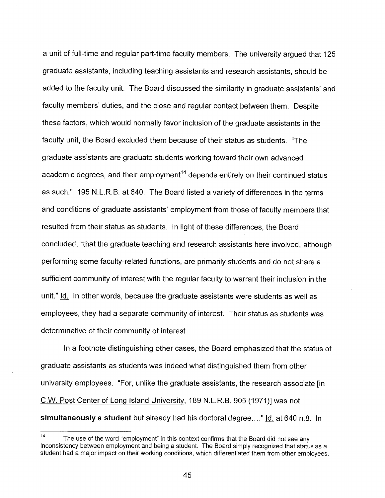a unit of full-time and regular part-time faculty members. The university argued that 125 graduate assistants, including teaching assistants and research assistants, should be added to the faculty unit. The Board discussed the similarity in graduate assistants' and faculty members' duties, and the close and regular contact between them. Despite these factors, which would normally favor inclusion of the graduate assistants in the faculty unit, the Board excluded them because of their status as students. "The graduate assistants are graduate students working toward their own advanced academic degrees, and their employment<sup>14</sup> depends entirely on their continued status as such." 195 N.L.R.B. at 640. The Board listed a variety of differences in the terms and conditions of graduate assistants' employment from those of faculty members that resulted from their status as students. In light of these differences, the Board concluded, "that the graduate teaching and research assistants here involved, although performing some faculty-related functions, are primarily students and do not share a sufficient community of interest with the regular faculty to warrant their inclusion in the unit." Id. In other words, because the graduate assistants were students as well as employees, they had a separate community of interest. Their status as students was determinative of their community of interest.

In a footnote distinguishing other cases, the Board emphasized that the status of graduate assistants as students was indeed what distinguished them from other university employees. "For, unlike the graduate assistants, the research associate [in C.W. Post Center of Long Island University, 189 N.L.R.B. 905 (1971)] was not **simultaneously a student** but already had his doctoral degree...." Id. at 640 n.8. In

 $14$  The use of the word "employment" in this context confirms that the Board did not see any inconsistency between employment and being a student. The Board simply recognized that status as a student had a major impact on their working conditions, which differentiated them from other employees.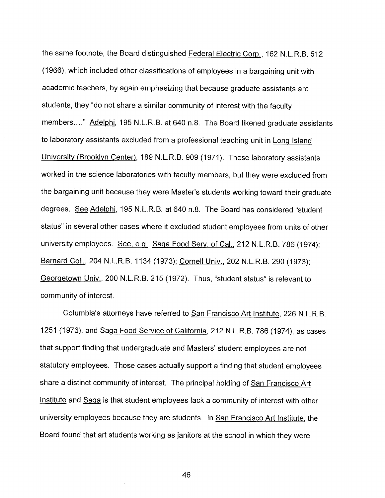the same footnote, the Board distinguished Federal Electric Corp., 162 N.L.R.B. 512 (1966), which included other classifications of employees in a bargaining unit with academic teachers, by again emphasizing that because graduate assistants are students, they "do not share a similar community of interest with the faculty members...." Adelphi, 195 N.L.R.B. at 640 n.8. The Board likened graduate assistants to laboratory assistants excluded from a professional teaching unit in Long Island University (Brooklyn Center), 189 N.L.R.B. 909 (1971). These laboratory assistants worked in the science laboratories with faculty members, but they were excluded from the bargaining unit because they were Master's students working toward their graduate degrees. See Adelphi, 195 N.L.R.B. at 640 n.8. The Board has considered "student status" in several other cases where it excluded student employees from units of other university employees. See, e.g., Saga Food Serv. of Cal., 212 N.L.R.B. 786 (1974); Barnard Coll., 204 N.L.R.B. 1134 (1973); Cornell Univ., 202 N.L.R.B. 290 (1973); Georgetown Univ., 200 N.L.R.B. 215 (1972). Thus, "student status" is relevant to community of interest.

Columbia's attorneys have referred to San Francisco Art Institute, 226 N.L.R.B. 1251 (1976), and Saga Food Service of California, 212 N.L.R.B. 786 (1974), as cases that support finding that undergraduate and Masters' student employees are not statutory employees. Those cases actually support a finding that student employees share a distinct community of interest. The principal holding of San Francisco Art Institute and Saga is that student employees lack a community of interest with other university employees because they are students. In San Francisco Art Institute, the Board found that art students working as janitors at the school in which they were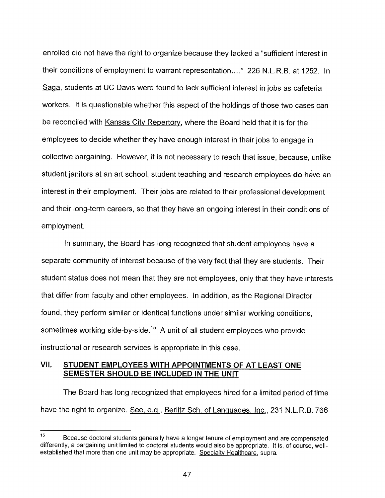enrolled did not have the right to organize because they lacked a "sufficient interest in their conditions of employment to warrant representation...." 226 N.L.R.B. at 1252. In Saga, students at UC Davis were found to lack sufficient interest in jobs as cafeteria workers. It is questionable whether this aspect of the holdings of those two cases can be reconciled with Kansas City Repertory, where the Board held that it is for the employees to decide whether they have enough interest in their jobs to engage in collective bargaining. However, it is not necessary to reach that issue, because, unlike student janitors at an art school, student teaching and research employees **do** have an interest in their employment. Their jobs are related to their professional development and their long-term careers, so that they have an ongoing interest in their conditions of employment.

In summary, the Board has long recognized that student employees have a separate community of interest because of the very fact that they are students. Their student status does not mean that they are not employees, only that they have interests that differ from faculty and other employees. In addition, as the Regional Director found, they perform similar or identical functions under similar working conditions, sometimes working side-by-side.<sup>15</sup> A unit of all student employees who provide instructional or research services is appropriate in this case.

# **VII. STUDENT EMPLOYEES WITH APPOINTMENTS OF AT LEAST ONE SEMESTER SHOULD BE INCLUDED IN THE UNIT**

The Board has long recognized that employees hired for a limited period of time have the right to organize. See, e.g., Berlitz Sch. of Languages, Inc., 231 N.L.R.B. 766

<sup>&</sup>lt;sup>15</sup> Because doctoral students generally have a longer tenure of employment and are compensated differently, a bargaining unit limited to doctoral students would also be appropriate. It is, of course, wellestablished that more than one unit may be appropriate. Specialty Healthcare, supra.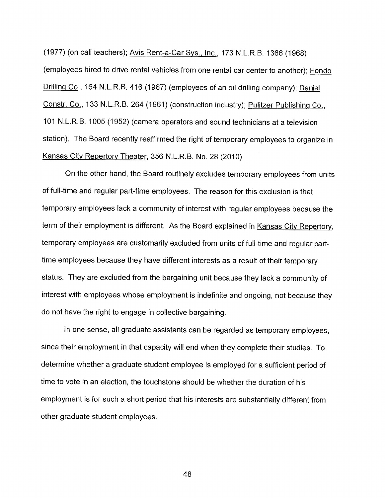(1977) (on call teachers); Avis Rent-a-Car Sys., Inc., 173 N.L.R.B. 1366 (1968) (employees hired to drive rental vehicles from one rental car center to another); Hondo Drilling Co., 164 N.L.R.B. 416 (1967) (employees of an oil drilling company); Daniel Constr. Co., 133 N.L.R.B. 264 (1961) (construction industry); Pulitzer Publishing Co., 101 N.L.R.B. 1005 (1952) (camera operators and sound technicians at a television station). The Board recently reaffirmed the right of temporary employees to organize in Kansas City Repertory Theater, 356 N.L.R.B. No. 28 (2010).

On the other hand, the Board routinely excludes temporary employees from units of full-time and regular part-time employees. The reason for this exclusion is that temporary employees lack a community of interest with regular employees because the term of their employment is different. As the Board explained in Kansas City Repertory, temporary employees are customarily excluded from units of full-time and regular parttime employees because they have different interests as a result of their temporary status. They are excluded from the bargaining unit because they lack a community of interest with employees whose employment is indefinite and ongoing, not because they do not have the right to engage in collective bargaining.

In one sense, all graduate assistants can be regarded as temporary employees, since their employment in that capacity will end when they complete their studies. To determine whether a graduate student employee is employed for a sufficient period of time to vote in an election, the touchstone should be whether the duration of his employment is for such a short period that his interests are substantially different from other graduate student employees.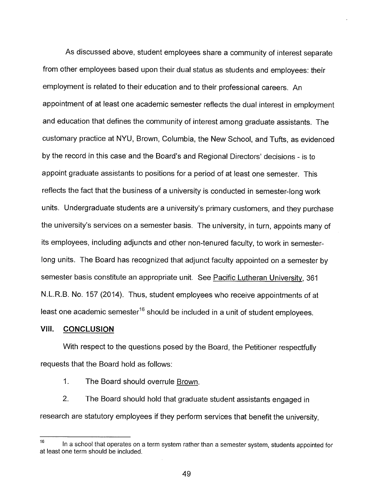As discussed above, student employees share a community of interest separate from other employees based upon their dual status as students and employees: their employment is related to their education and to their professional careers. An appointment of at least one academic semester reflects the dual interest in employment and education that defines the community of interest among graduate assistants. The customary practice at NYU, Brown, Columbia, the New School, and Tufts, as evidenced by the record in this case and the Board's and Regional Directors' decisions - is to appoint graduate assistants to positions for a period of at least one semester. This reflects the fact that the business of a university is conducted in semester-long work units. Undergraduate students are a university's primary customers, and they purchase the university's services on a semester basis. The university, in turn, appoints many of its employees, including adjuncts and other non-tenured faculty, to work in semesterlong units. The Board has recognized that adjunct faculty appointed on a semester by semester basis constitute an appropriate unit. See Pacific Lutheran University, 361 N.L.R.B. No. 157 (2014). Thus, student employees who receive appointments of at least one academic semester<sup>16</sup> should be included in a unit of student employees.

## **VIII. CONCLUSION**

With respect to the questions posed by the Board, the Petitioner respectfully requests that the Board hold as follows:

1. The Board should overrule Brown.

2. The Board should hold that graduate student assistants engaged in research are statutory employees if they perform services that benefit the university,

 $16$  In a school that operates on a term system rather than a semester system, students appointed for at least one term should be included.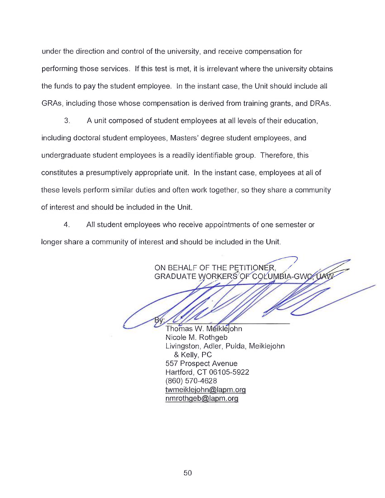under the direction and control of the university, and receive compensation for performing those services. If this test is met, it is irrelevant where the university obtains the funds to pay the student employee. In the instant case, the Unit should include all GRAs, including those whose compensation is derived from training grants, and DRAs.

3. A unit composed of student employees at all levels of their education, including doctoral student employees, Masters' degree student employees, and undergraduate student employees is a readily identifiable group. Therefore, this constitutes a presumptively appropriate unit. In the instant case, employees at all of these levels perform similar duties and often work together, so they share a community of interest and should be included in the Unit.

4. All student employees who receive appointments of one semester or longer share a community of interest and should be included in the Unit.

> ON BEHALF OF THE PETITIONER, GRADUATE WORKERS OF COLUMBIA-GWO.

Thomas W. Meikléjohn Nicole M. Rothgeb Livingston, Adler, Pulda, Meiklejohn & Kelly, PC 557 Prospect Avenue Hartford, CT 06105-5922 (860) 570-4628 twmeiklejohn@lapm.org<br>nmrothgeb@lapm.org